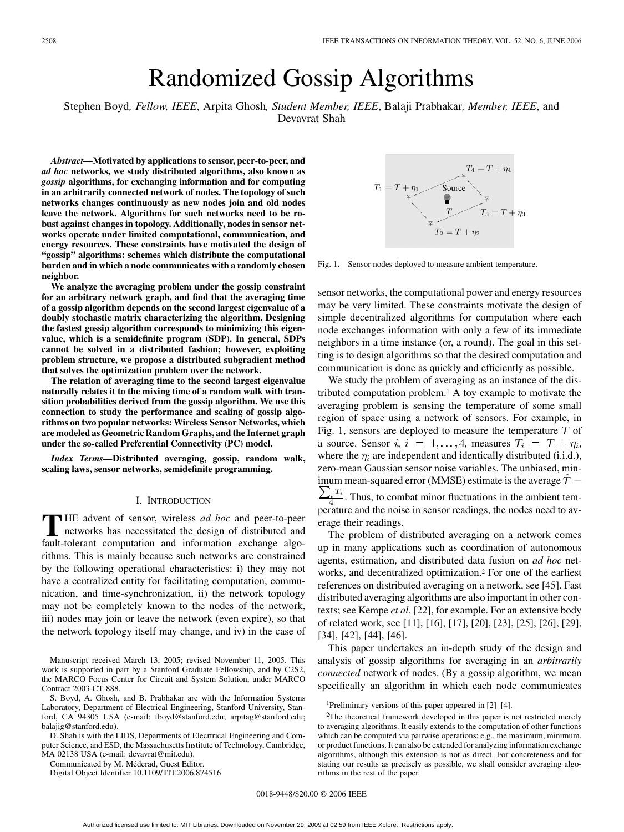# Randomized Gossip Algorithms

Stephen Boyd*, Fellow, IEEE*, Arpita Ghosh*, Student Member, IEEE*, Balaji Prabhakar*, Member, IEEE*, and Devavrat Shah

*Abstract—***Motivated by applications to sensor, peer-to-peer, and** *ad hoc* **networks, we study distributed algorithms, also known as** *gossip* **algorithms, for exchanging information and for computing in an arbitrarily connected network of nodes. The topology of such networks changes continuously as new nodes join and old nodes leave the network. Algorithms for such networks need to be robust against changes in topology. Additionally, nodes in sensor networks operate under limited computational, communication, and energy resources. These constraints have motivated the design of "gossip" algorithms: schemes which distribute the computational burden and in which a node communicates with a randomly chosen neighbor.**

**We analyze the averaging problem under the gossip constraint for an arbitrary network graph, and find that the averaging time of a gossip algorithm depends on the second largest eigenvalue of a doubly stochastic matrix characterizing the algorithm. Designing the fastest gossip algorithm corresponds to minimizing this eigenvalue, which is a semidefinite program (SDP). In general, SDPs cannot be solved in a distributed fashion; however, exploiting problem structure, we propose a distributed subgradient method that solves the optimization problem over the network.**

**The relation of averaging time to the second largest eigenvalue naturally relates it to the mixing time of a random walk with transition probabilities derived from the gossip algorithm. We use this connection to study the performance and scaling of gossip algorithms on two popular networks: Wireless Sensor Networks, which are modeled as Geometric Random Graphs, and the Internet graph under the so-called Preferential Connectivity (PC) model.**

*Index Terms—***Distributed averaging, gossip, random walk, scaling laws, sensor networks, semidefinite programming.**

### I. INTRODUCTION

**T** HE advent of sensor, wireless *ad hoc* and peer-to-peer networks has necessitated the design of distributed and fault-tolerant computation and information exchange algorithms. This is mainly because such networks are constrained by the following operational characteristics: i) they may not have a centralized entity for facilitating computation, communication, and time-synchronization, ii) the network topology may not be completely known to the nodes of the network, iii) nodes may join or leave the network (even expire), so that the network topology itself may change, and iv) in the case of

Manuscript received March 13, 2005; revised November 11, 2005. This work is supported in part by a Stanford Graduate Fellowship, and by C2S2, the MARCO Focus Center for Circuit and System Solution, under MARCO Contract 2003-CT-888.

S. Boyd, A. Ghosh, and B. Prabhakar are with the Information Systems Laboratory, Department of Electrical Engineering, Stanford University, Stanford, CA 94305 USA (e-mail: fboyd@stanford.edu; arpitag@stanford.edu; balajig@stanford.edu).

D. Shah is with the LIDS, Departments of Elecrtrical Engineering and Computer Science, and ESD, the Massachusetts Institute of Technology, Cambridge, MA 02138 USA (e-mail: devavrat@mit.edu).

Communicated by M. Méderad, Guest Editor.

Digital Object Identifier 10.1109/TIT.2006.874516



Fig. 1. Sensor nodes deployed to measure ambient temperature.

sensor networks, the computational power and energy resources may be very limited. These constraints motivate the design of simple decentralized algorithms for computation where each node exchanges information with only a few of its immediate neighbors in a time instance (or, a round). The goal in this setting is to design algorithms so that the desired computation and communication is done as quickly and efficiently as possible.

We study the problem of averaging as an instance of the distributed computation problem.1 A toy example to motivate the averaging problem is sensing the temperature of some small region of space using a network of sensors. For example, in Fig. 1, sensors are deployed to measure the temperature  $T$  of a source. Sensor i,  $i = 1, ..., 4$ , measures  $T_i = T + \eta_i$ , where the  $\eta_i$  are independent and identically distributed (i.i.d.), zero-mean Gaussian sensor noise variables. The unbiased, minimum mean-squared error (MMSE) estimate is the average  $T =$  $\frac{\sum_i T_i}{4}$ . Thus, to combat minor fluctuations in the ambient temperature and the noise in sensor readings, the nodes need to average their readings.

The problem of distributed averaging on a network comes up in many applications such as coordination of autonomous agents, estimation, and distributed data fusion on *ad hoc* networks, and decentralized optimization.2 For one of the earliest references on distributed averaging on a network, see [\[45](#page-22-0)]. Fast distributed averaging algorithms are also important in other contexts; see Kempe *et al.* [[22\]](#page-21-0), for example. For an extensive body of related work, see [[11\]](#page-21-0), [\[16](#page-21-0)], [\[17](#page-21-0)], [[20\]](#page-21-0), [\[23](#page-21-0)], [[25\]](#page-21-0), [\[26](#page-21-0)], [[29\]](#page-21-0), [[34\]](#page-21-0), [[42\]](#page-21-0), [[44\]](#page-22-0), [[46\]](#page-22-0).

This paper undertakes an in-depth study of the design and analysis of gossip algorithms for averaging in an *arbitrarily connected* network of nodes. (By a gossip algorithm, we mean specifically an algorithm in which each node communicates

1Preliminary versions of this paper appeared in [[2\]](#page-21-0)–[\[4](#page-21-0)].

2The theoretical framework developed in this paper is not restricted merely to averaging algorithms. It easily extends to the computation of other functions which can be computed via pairwise operations; e.g., the maximum, minimum, or product functions. It can also be extended for analyzing information exchange algorithms, although this extension is not as direct. For concreteness and for stating our results as precisely as possible, we shall consider averaging algorithms in the rest of the paper.

0018-9448/\$20.00 © 2006 IEEE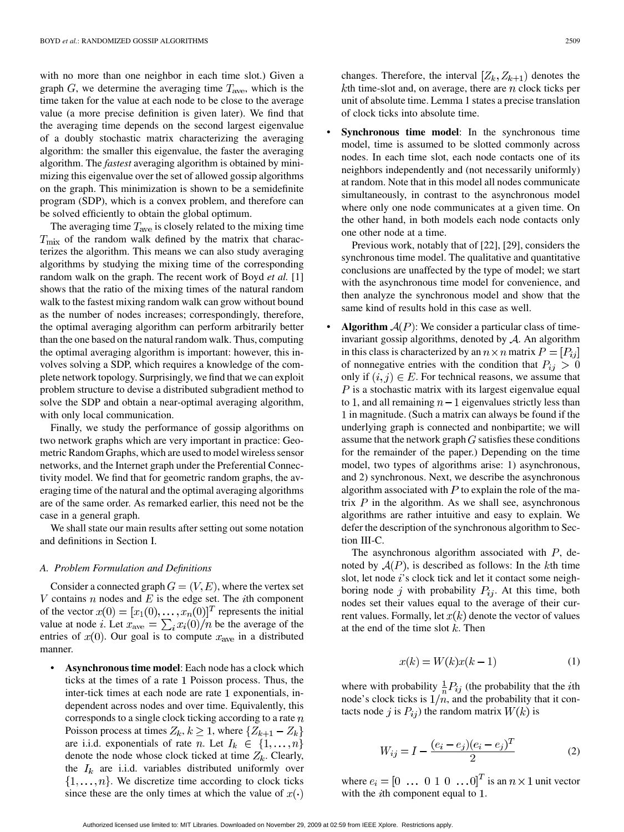with no more than one neighbor in each time slot.) Given a graph  $G$ , we determine the averaging time  $T_{\text{ave}}$ , which is the time taken for the value at each node to be close to the average value (a more precise definition is given later). We find that the averaging time depends on the second largest eigenvalue of a doubly stochastic matrix characterizing the averaging algorithm: the smaller this eigenvalue, the faster the averaging algorithm. The *fastest* averaging algorithm is obtained by minimizing this eigenvalue over the set of allowed gossip algorithms on the graph. This minimization is shown to be a semidefinite program (SDP), which is a convex problem, and therefore can be solved efficiently to obtain the global optimum.

The averaging time  $T_{\text{ave}}$  is closely related to the mixing time  $T_{\text{mix}}$  of the random walk defined by the matrix that characterizes the algorithm. This means we can also study averaging algorithms by studying the mixing time of the corresponding random walk on the graph. The recent work of Boyd *et al.* [[1\]](#page-21-0) shows that the ratio of the mixing times of the natural random walk to the fastest mixing random walk can grow without bound as the number of nodes increases; correspondingly, therefore, the optimal averaging algorithm can perform arbitrarily better than the one based on the natural random walk. Thus, computing the optimal averaging algorithm is important: however, this involves solving a SDP, which requires a knowledge of the complete network topology. Surprisingly, we find that we can exploit problem structure to devise a distributed subgradient method to solve the SDP and obtain a near-optimal averaging algorithm, with only local communication.

Finally, we study the performance of gossip algorithms on two network graphs which are very important in practice: Geometric Random Graphs, which are used to model wireless sensor networks, and the Internet graph under the Preferential Connectivity model. We find that for geometric random graphs, the averaging time of the natural and the optimal averaging algorithms are of the same order. As remarked earlier, this need not be the case in a general graph.

We shall state our main results after setting out some notation and definitions in Section I.

#### *A. Problem Formulation and Definitions*

Consider a connected graph  $G = (V, E)$ , where the vertex set  $V$  contains  $n$  nodes and  $E$  is the edge set. The *i*th component of the vector  $x(0) = [x_1(0), \dots, x_n(0)]^T$  represents the initial value at node *i*. Let  $x_{ave} = \sum_i x_i(0)/n$  be the average of the entries of  $x(0)$ . Our goal is to compute  $x_{\text{ave}}$  in a distributed manner.

• **Asynchronous time model**: Each node has a clock which ticks at the times of a rate 1 Poisson process. Thus, the inter-tick times at each node are rate  $1$  exponentials, independent across nodes and over time. Equivalently, this corresponds to a single clock ticking according to a rate  $n$ Poisson process at times  $Z_k, k \geq 1$ , where  $\{Z_{k+1} - Z_k\}$ are i.i.d. exponentials of rate n. Let  $I_k \in \{1, ..., n\}$ denote the node whose clock ticked at time  $Z_k$ . Clearly, the  $I_k$  are i.i.d. variables distributed uniformly over  $\{1, \ldots, n\}$ . We discretize time according to clock ticks since these are the only times at which the value of  $x(\cdot)$ 

changes. Therefore, the interval  $[Z_k, Z_{k+1}]$  denotes the kth time-slot and, on average, there are  $n$  clock ticks per unit of absolute time. Lemma 1 states a precise translation of clock ticks into absolute time.

**Synchronous time model:** In the synchronous time model, time is assumed to be slotted commonly across nodes. In each time slot, each node contacts one of its neighbors independently and (not necessarily uniformly) at random. Note that in this model all nodes communicate simultaneously, in contrast to the asynchronous model where only one node communicates at a given time. On the other hand, in both models each node contacts only one other node at a time.

Previous work, notably that of [[22\]](#page-21-0), [[29\]](#page-21-0), considers the synchronous time model. The qualitative and quantitative conclusions are unaffected by the type of model; we start with the asynchronous time model for convenience, and then analyze the synchronous model and show that the same kind of results hold in this case as well.

**Algorithm**  $A(P)$ : We consider a particular class of timeinvariant gossip algorithms, denoted by  $A$ . An algorithm in this class is characterized by an  $n \times n$  matrix  $P = [P_{ij}]$ of nonnegative entries with the condition that  $P_{ij} > 0$ only if  $(i, j) \in E$ . For technical reasons, we assume that  $P$  is a stochastic matrix with its largest eigenvalue equal to 1, and all remaining  $n-1$  eigenvalues strictly less than in magnitude. (Such a matrix can always be found if the underlying graph is connected and nonbipartite; we will assume that the network graph  $G$  satisfies these conditions for the remainder of the paper.) Depending on the time model, two types of algorithms arise: 1) asynchronous, and 2) synchronous. Next, we describe the asynchronous algorithm associated with  $P$  to explain the role of the matrix  $P$  in the algorithm. As we shall see, asynchronous algorithms are rather intuitive and easy to explain. We defer the description of the synchronous algorithm to Section III-C.

The asynchronous algorithm associated with  $P$ , denoted by  $A(P)$ , is described as follows: In the kth time slot, let node i's clock tick and let it contact some neighboring node j with probability  $P_{ij}$ . At this time, both nodes set their values equal to the average of their current values. Formally, let  $x(k)$  denote the vector of values at the end of the time slot  $k$ . Then

$$
x(k) = W(k)x(k-1)
$$
 (1)

where with probability  $\frac{1}{n}P_{ij}$  (the probability that the *i*th node's clock ticks is  $1/n$ , and the probability that it contacts node j is  $P_{ij}$ ) the random matrix  $W(k)$  is

$$
W_{ij} = I - \frac{(e_i - e_j)(e_i - e_j)^T}{2}
$$
 (2)

where  $e_i = [0 \dots 0 \ 1 \ 0 \dots 0]^T$  is an  $n \times 1$  unit vector with the *i*th component equal to  $1$ .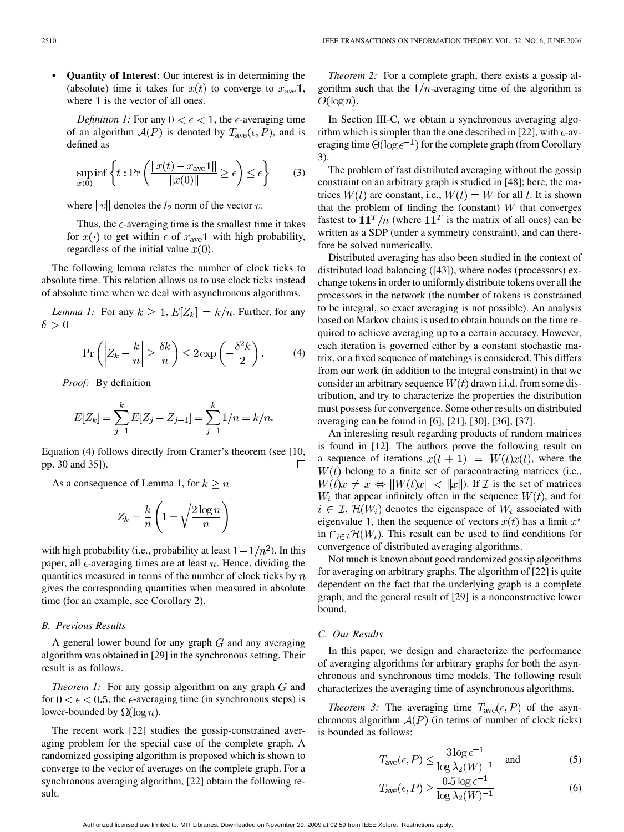• **Quantity of Interest**: Our interest is in determining the (absolute) time it takes for  $x(t)$  to converge to  $x_{\text{ave}}1$ , where  $1$  is the vector of all ones.

*Definition 1:* For any  $0 < \epsilon < 1$ , the  $\epsilon$ -averaging time of an algorithm  $A(P)$  is denoted by  $T_{ave}(\epsilon, P)$ , and is defined as

$$
\sup_{x(0)} \inf \left\{ t : \Pr \left( \frac{\|x(t) - x_{\text{ave}} \mathbf{1}\|}{\|x(0)\|} \ge \epsilon \right) \le \epsilon \right\} \tag{3}
$$

where  $||v||$  denotes the  $l_2$  norm of the vector  $v$ .

Thus, the  $\epsilon$ -averaging time is the smallest time it takes for  $x(\cdot)$  to get within  $\epsilon$  of  $x_{ave}$ **1** with high probability, regardless of the initial value  $x(0)$ .

The following lemma relates the number of clock ticks to absolute time. This relation allows us to use clock ticks instead of absolute time when we deal with asynchronous algorithms.

*Lemma 1:* For any  $k \geq 1$ ,  $E[Z_k] = k/n$ . Further, for any  $\delta > 0$ 

$$
\Pr\left(\left|Z_k - \frac{k}{n}\right| \ge \frac{\delta k}{n}\right) \le 2\exp\left(-\frac{\delta^2 k}{2}\right). \tag{4}
$$

*Proof:* By definition

$$
E[Z_k] = \sum_{j=1}^k E[Z_j - Z_{j-1}] = \sum_{j=1}^k 1/n = k/n.
$$

Equation (4) follows directly from Cramer's theorem (see [\[10](#page-21-0), pp. 30 and 35]).  $\Box$ 

As a consequence of Lemma 1, for  $k \geq n$ 

$$
Z_k = \frac{k}{n} \left( 1 \pm \sqrt{\frac{2 \log n}{n}} \right)
$$

with high probability (i.e., probability at least  $1 - 1/n^2$ ). In this paper, all  $\epsilon$ -averaging times are at least n. Hence, dividing the quantities measured in terms of the number of clock ticks by  $n$ gives the corresponding quantities when measured in absolute time (for an example, see Corollary 2).

## *B. Previous Results*

A general lower bound for any graph  $G$  and any averaging algorithm was obtained in [[29\]](#page-21-0) in the synchronous setting. Their result is as follows.

*Theorem 1:* For any gossip algorithm on any graph  $G$  and for  $0 < \epsilon < 0.5$ , the  $\epsilon$ -averaging time (in synchronous steps) is lower-bounded by  $\Omega(\log n)$ .

The recent work [[22\]](#page-21-0) studies the gossip-constrained averaging problem for the special case of the complete graph. A randomized gossiping algorithm is proposed which is shown to converge to the vector of averages on the complete graph. For a synchronous averaging algorithm, [[22\]](#page-21-0) obtain the following result.

*Theorem 2:* For a complete graph, there exists a gossip algorithm such that the  $1/n$ -averaging time of the algorithm is  $O(\log n)$ .

In Section III-C, we obtain a synchronous averaging algo-rithm which is simpler than the one described in [\[22](#page-21-0)], with  $\epsilon$ -averaging time  $\Theta(\log \epsilon^{-1})$  for the complete graph (from Corollary 3).

The problem of fast distributed averaging without the gossip constraint on an arbitrary graph is studied in [\[48](#page-22-0)]; here, the matrices  $W(t)$  are constant, i.e.,  $W(t) = W$  for all t. It is shown that the problem of finding the (constant)  $W$  that converges fastest to  $11^T/n$  (where  $11^T$  is the matrix of all ones) can be written as a SDP (under a symmetry constraint), and can therefore be solved numerically.

Distributed averaging has also been studied in the context of distributed load balancing ([\[43](#page-21-0)]), where nodes (processors) exchange tokens in order to uniformly distribute tokens over all the processors in the network (the number of tokens is constrained to be integral, so exact averaging is not possible). An analysis based on Markov chains is used to obtain bounds on the time required to achieve averaging up to a certain accuracy. However, each iteration is governed either by a constant stochastic matrix, or a fixed sequence of matchings is considered. This differs from our work (in addition to the integral constraint) in that we consider an arbitrary sequence  $W(t)$  drawn i.i.d. from some distribution, and try to characterize the properties the distribution must possess for convergence. Some other results on distributed averaging can be found in [\[6](#page-21-0)], [[21\]](#page-21-0), [\[30](#page-21-0)], [\[36](#page-21-0)], [[37\]](#page-21-0).

An interesting result regarding products of random matrices is found in [[12\]](#page-21-0). The authors prove the following result on a sequence of iterations  $x(t + 1) = W(t)x(t)$ , where the  $W(t)$  belong to a finite set of paracontracting matrices (i.e.,  $W(t)x \neq x \Leftrightarrow ||W(t)x|| < ||x||$ . If *I* is the set of matrices  $W_i$  that appear infinitely often in the sequence  $W(t)$ , and for  $i \in \mathcal{I}, \mathcal{H}(W_i)$  denotes the eigenspace of  $W_i$  associated with eigenvalue 1, then the sequence of vectors  $x(t)$  has a limit  $x^*$ in  $\bigcap_{i\in\mathcal{I}}\mathcal{H}(W_i)$ . This result can be used to find conditions for convergence of distributed averaging algorithms.

Not much is known about good randomized gossip algorithms for averaging on arbitrary graphs. The algorithm of [[22\]](#page-21-0) is quite dependent on the fact that the underlying graph is a complete graph, and the general result of [\[29](#page-21-0)] is a nonconstructive lower bound.

#### *C. Our Results*

In this paper, we design and characterize the performance of averaging algorithms for arbitrary graphs for both the asynchronous and synchronous time models. The following result characterizes the averaging time of asynchronous algorithms.

*Theorem 3:* The averaging time  $T_{\text{ave}}(\epsilon, P)$  of the asynchronous algorithm  $A(P)$  (in terms of number of clock ticks) is bounded as follows:

$$
T_{\text{ave}}(\epsilon, P) \le \frac{3\log \epsilon^{-1}}{\log \lambda_2(W)^{-1}} \quad \text{and} \tag{5}
$$

$$
T_{\text{ave}}(\epsilon, P) \ge \frac{0.5 \log \epsilon^{-1}}{\log \lambda_2(W)^{-1}} \tag{6}
$$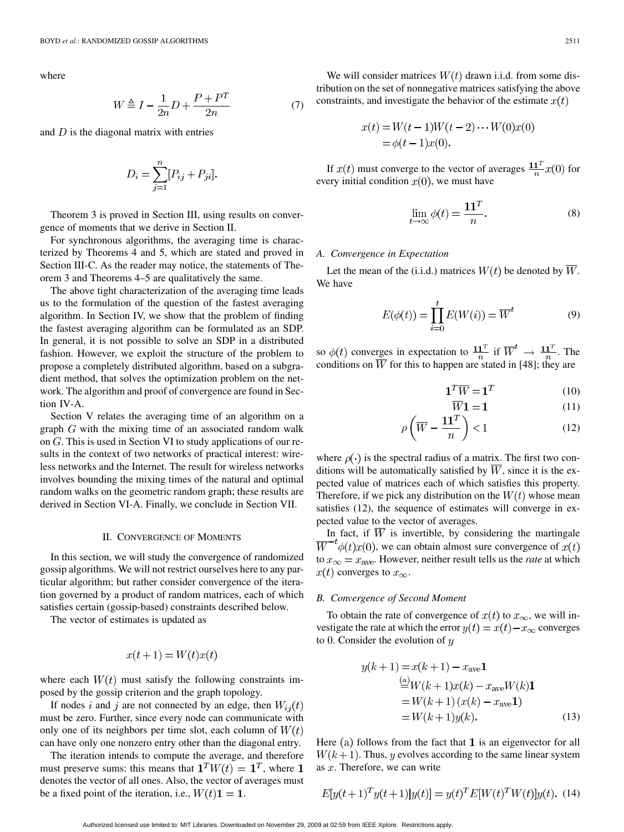where

$$
W \triangleq I - \frac{1}{2n}D + \frac{P + P^{T}}{2n}
$$
 (7)

and  $D$  is the diagonal matrix with entries

$$
D_i = \sum_{j=1}^{n} [P_{ij} + P_{ji}].
$$

Theorem 3 is proved in Section III, using results on convergence of moments that we derive in Section II.

For synchronous algorithms, the averaging time is characterized by Theorems 4 and 5, which are stated and proved in Section III-C. As the reader may notice, the statements of Theorem 3 and Theorems 4–5 are qualitatively the same.

The above tight characterization of the averaging time leads us to the formulation of the question of the fastest averaging algorithm. In Section IV, we show that the problem of finding the fastest averaging algorithm can be formulated as an SDP. In general, it is not possible to solve an SDP in a distributed fashion. However, we exploit the structure of the problem to propose a completely distributed algorithm, based on a subgradient method, that solves the optimization problem on the network. The algorithm and proof of convergence are found in Section IV-A.

Section V relates the averaging time of an algorithm on a graph  $G$  with the mixing time of an associated random walk on  $G$ . This is used in Section VI to study applications of our results in the context of two networks of practical interest: wireless networks and the Internet. The result for wireless networks involves bounding the mixing times of the natural and optimal random walks on the geometric random graph; these results are derived in Section VI-A. Finally, we conclude in Section VII.

#### II. CONVERGENCE OF MOMENTS

In this section, we will study the convergence of randomized gossip algorithms. We will not restrict ourselves here to any particular algorithm; but rather consider convergence of the iteration governed by a product of random matrices, each of which satisfies certain (gossip-based) constraints described below.

The vector of estimates is updated as

$$
x(t+1) = W(t)x(t)
$$

where each  $W(t)$  must satisfy the following constraints imposed by the gossip criterion and the graph topology.

If nodes i and j are not connected by an edge, then  $W_{ij}(t)$ must be zero. Further, since every node can communicate with only one of its neighbors per time slot, each column of  $W(t)$ can have only one nonzero entry other than the diagonal entry.

The iteration intends to compute the average, and therefore must preserve sums: this means that  $\mathbf{1}^T W(t) = \mathbf{1}^T$ , where 1 denotes the vector of all ones. Also, the vector of averages must be a fixed point of the iteration, i.e.,  $W(t)\mathbf{1} = \mathbf{1}$ .

We will consider matrices  $W(t)$  drawn i.i.d. from some distribution on the set of nonnegative matrices satisfying the above constraints, and investigate the behavior of the estimate  $x(t)$ 

$$
x(t) = W(t-1)W(t-2)\cdots W(0)x(0)
$$
  
=  $\phi(t-1)x(0)$ .

If  $x(t)$  must converge to the vector of averages  $\frac{11^T}{n}x(0)$  for every initial condition  $x(0)$ , we must have

$$
\lim_{t \to \infty} \phi(t) = \frac{\mathbf{1} \mathbf{1}^T}{n}.
$$
\n(8)

#### *A. Convergence in Expectation*

Let the mean of the (i.i.d.) matrices  $W(t)$  be denoted by  $\overline{W}$ . We have

$$
E(\phi(t)) = \prod_{i=0}^{t} E(W(i)) = \overline{W}^{t}
$$
 (9)

so  $\phi(t)$  converges in expectation to  $\frac{11}{n}$  if  $W^{\circ} \to \frac{11}{n}$ . The conditions on  $W$  for this to happen are stated in [\[48](#page-22-0)]; they are

$$
\mathbf{1}^T \overline{W} = \mathbf{1}^T \tag{10}
$$

$$
\overline{W}\mathbf{1} = \mathbf{1} \tag{11}
$$

$$
\rho\left(\overline{W} - \frac{\mathbf{1}\mathbf{1}^T}{n}\right) < 1\tag{12}
$$

where  $\rho(\cdot)$  is the spectral radius of a matrix. The first two conditions will be automatically satisfied by  $\overline{W}$ , since it is the expected value of matrices each of which satisfies this property. Therefore, if we pick any distribution on the  $W(t)$  whose mean satisfies (12), the sequence of estimates will converge in expected value to the vector of averages.

In fact, if  $\overline{W}$  is invertible, by considering the martingale  $\overline{W}^{-1}\phi(t)x(0)$ , we can obtain almost sure convergence of  $x(t)$ to  $x_{\infty} = x_{\text{ave}}$ . However, neither result tells us the *rate* at which  $x(t)$  converges to  $x_{\infty}$ .

#### *B. Convergence of Second Moment*

To obtain the rate of convergence of  $x(t)$  to  $x_{\infty}$ , we will investigate the rate at which the error  $y(t) = x(t) - x_{\infty}$  converges to 0. Consider the evolution of  $y$ 

$$
y(k+1) = x(k+1) - x_{ave}1
$$
  
\n
$$
\stackrel{(a)}{=} W(k+1)x(k) - x_{ave}W(k)1
$$
  
\n
$$
= W(k+1)(x(k) - x_{ave}1)
$$
  
\n
$$
= W(k+1)y(k).
$$
 (13)

Here (a) follows from the fact that  $\bf{1}$  is an eigenvector for all  $W(k+1)$ . Thus, y evolves according to the same linear system as  $x$ . Therefore, we can write

$$
E[y(t+1)^{T}y(t+1)|y(t)] = y(t)^{T}E[W(t)^{T}W(t)]y(t).
$$
 (14)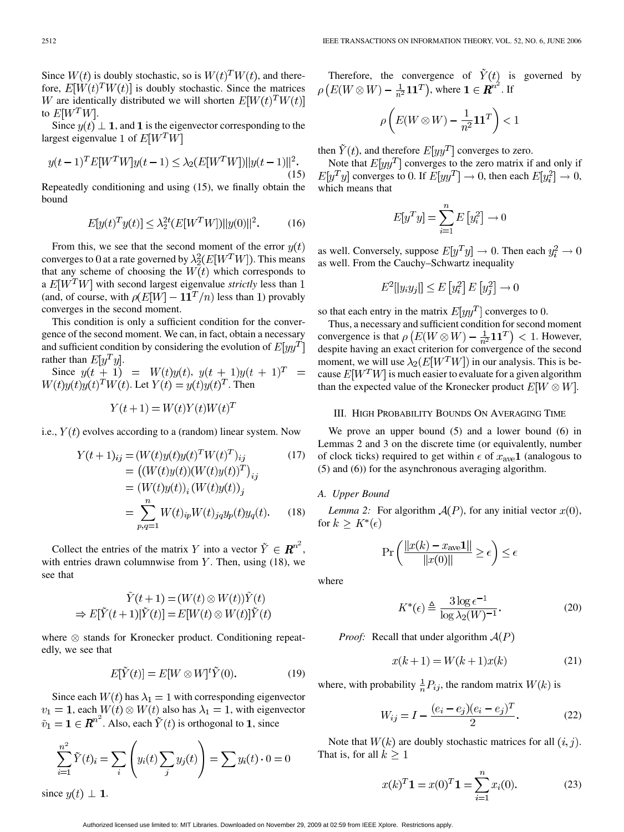Since  $W(t)$  is doubly stochastic, so is  $W(t)^{T}W(t)$ , and therefore,  $E[W(t)^TW(t)]$  is doubly stochastic. Since the matrices W are identically distributed we will shorten  $E[W(t)]^T W(t)$ to  $E[W^TW]$ .

Since  $y(t) \perp 1$ , and 1 is the eigenvector corresponding to the largest eigenvalue 1 of  $E[W^TW]$ 

$$
y(t-1)^{T} E[W^{T}W]y(t-1) \leq \lambda_{2}(E[W^{T}W])||y(t-1)||^{2}.
$$
\n(15)

Repeatedly conditioning and using (15), we finally obtain the bound

$$
E[y(t)^T y(t)] \le \lambda_2^{2t} (E[W^T W]) ||y(0)||^2.
$$
 (16)

From this, we see that the second moment of the error  $y(t)$ converges to 0 at a rate governed by  $\lambda_2^2(E[W^TW])$ . This means that any scheme of choosing the  $W(t)$  which corresponds to a  $E[W^TW]$  with second largest eigenvalue *strictly* less than 1 (and, of course, with  $\rho(E[W] - 11^T/n)$  less than 1) provably converges in the second moment.

This condition is only a sufficient condition for the convergence of the second moment. We can, in fact, obtain a necessary and sufficient condition by considering the evolution of  $E[yy^T]$ rather than  $E[y^Ty]$ .

Since  $y(t + 1) = W(t)y(t), y(t + 1)y(t + 1)^T =$  $W(t)y(t)y(t)^TW(t)$ . Let  $Y(t) = y(t)y(t)^T$ . Then

$$
Y(t+1) = W(t)Y(t)W(t)^{T}
$$

i.e.,  $Y(t)$  evolves according to a (random) linear system. Now

$$
Y(t+1)_{ij} = (W(t)y(t)y(t)^T W(t)^T)_{ij}
$$
\n
$$
= ((W(t)y(t))(W(t)y(t))^T)_{ij}
$$
\n
$$
= (W(t)y(t))_i (W(t)y(t))_j
$$
\n
$$
= \sum_{p,q=1}^n W(t)_{ip} W(t)_{jq} y_p(t) y_q(t).
$$
\n(18)

Collect the entries of the matrix Y into a vector  $\tilde{Y} \in \mathbb{R}^{n^2}$ , with entries drawn columnwise from  $Y$ . Then, using (18), we see that

$$
\tilde{Y}(t+1) = (W(t) \otimes W(t))\tilde{Y}(t)
$$
\n
$$
\Rightarrow E[\tilde{Y}(t+1)|\tilde{Y}(t)] = E[W(t) \otimes W(t)]\tilde{Y}(t)
$$

where  $\otimes$  stands for Kronecker product. Conditioning repeatedly, we see that

$$
E[\tilde{Y}(t)] = E[W \otimes W]^t \tilde{Y}(0). \tag{19}
$$

Since each  $W(t)$  has  $\lambda_1 = 1$  with corresponding eigenvector , each  $W(t) \otimes W(t)$  also has  $\lambda_1 = 1$ , with eigenvector . Also, each  $Y(t)$  is orthogonal to 1, since

$$
\sum_{i=1}^{n^2} \tilde{Y}(t)_i = \sum_i \left( y_i(t) \sum_j y_j(t) \right) = \sum y_i(t) \cdot 0 = 0
$$

since  $y(t) \perp 1$ .

Therefore, the convergence of  $\tilde{Y}(t)$  is governed by  $\rho(E(W \otimes W) - \frac{1}{n^2}\mathbf{1}\mathbf{1}^T)$ , where  $\mathbf{1} \in \mathbb{R}^{n^2}$ . If

$$
\rho\left(E(W\otimes W) - \frac{1}{n^2}\mathbf{1}\mathbf{1}^T\right) < 1
$$

then  $\tilde{Y}(t)$ , and therefore  $E[yy^T]$  converges to zero.

Note that  $E[yy^T]$  converges to the zero matrix if and only if  $E[y^Ty]$  converges to 0. If  $E[yy^T] \to 0$ , then each  $E[y_i^2] \to 0$ , which means that

$$
E[y^T y] = \sum_{i=1}^n E[y_i^2] \to 0
$$

as well. Conversely, suppose  $E[y^Ty] \to 0$ . Then each  $y_i^2 \to 0$ as well. From the Cauchy–Schwartz inequality

$$
E^{2}[|y_{i}y_{j}|] \leq E[y_{i}^{2}] E[y_{j}^{2}] \to 0
$$

so that each entry in the matrix  $E[yy^T]$  converges to 0.

Thus, a necessary and sufficient condition for second moment convergence is that  $\rho(E(W \otimes W) - \frac{1}{n^2}\mathbf{1}\mathbf{1}^T) < 1$ . However, despite having an exact criterion for convergence of the second moment, we will use  $\lambda_2(E[W^TW])$  in our analysis. This is because  $E[W^T W]$  is much easier to evaluate for a given algorithm than the expected value of the Kronecker product  $E[W \otimes W]$ .

#### III. HIGH PROBABILITY BOUNDS ON AVERAGING TIME

We prove an upper bound (5) and a lower bound (6) in Lemmas 2 and 3 on the discrete time (or equivalently, number of clock ticks) required to get within  $\epsilon$  of  $x_{ave}$ 1 (analogous to (5) and (6)) for the asynchronous averaging algorithm.

#### *A. Upper Bound*

*Lemma 2:* For algorithm  $A(P)$ , for any initial vector  $x(0)$ , for  $k \geq K^*(\epsilon)$ 

$$
\Pr\left(\frac{\|x(k) - x_{\text{ave}}\mathbf{1}\|}{\|x(0)\|} \ge \epsilon\right) \le \epsilon
$$

where

$$
K^*(\epsilon) \triangleq \frac{3\log \epsilon^{-1}}{\log \lambda_2(W)^{-1}}.
$$
\n(20)

*Proof:* Recall that under algorithm  $A(P)$ 

$$
x(k+1) = W(k+1)x(k)
$$
\n<sup>(21)</sup>

where, with probability  $\frac{1}{n}P_{ij}$ , the random matrix  $W(k)$  is

$$
W_{ij} = I - \frac{(e_i - e_j)(e_i - e_j)^T}{2}.
$$
 (22)

Note that  $W(k)$  are doubly stochastic matrices for all  $(i, j)$ . That is, for all  $k \geq 1$ 

$$
x(k)^{T} \mathbf{1} = x(0)^{T} \mathbf{1} = \sum_{i=1}^{n} x_{i}(0). \tag{23}
$$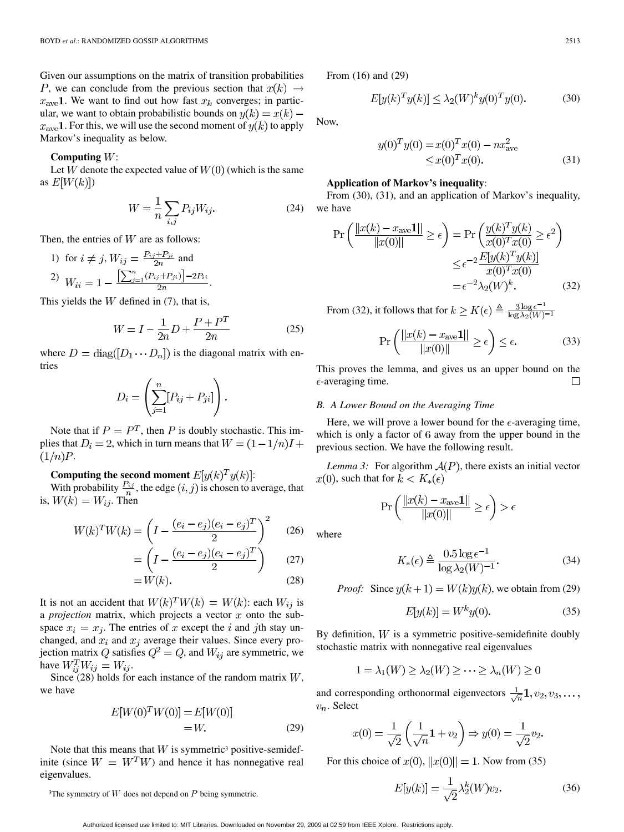Given our assumptions on the matrix of transition probabilities P, we can conclude from the previous section that  $x(k) \rightarrow$  $x_{\text{ave}}$ 1. We want to find out how fast  $x_k$  converges; in particular, we want to obtain probabilistic bounds on  $y(k) = x(k)$  –  $x<sub>ave</sub>$ **1**. For this, we will use the second moment of  $y(k)$  to apply Markov's inequality as below.

## **Computing**  $W$ :

Let W denote the expected value of  $W(0)$  (which is the same as  $E[W(k)]$ 

$$
W = \frac{1}{n} \sum_{i,j} P_{ij} W_{ij}.
$$
 (24)

Then, the entries of  $W$  are as follows:

1) for 
$$
i \neq j
$$
,  $W_{ij} = \frac{P_{ij} + P_{ji}}{2n}$  and  
2)  $W_{ii} = 1 - \frac{\left[\sum_{j=1}^{n} (P_{ij} + P_{ji})\right] - 2P_{ii}}{2n}$ .

This yields the  $W$  defined in (7), that is,

$$
W = I - \frac{1}{2n}D + \frac{P + P^{T}}{2n}
$$
 (25)

where  $D = \text{diag}([D_1 \cdots D_n])$  is the diagonal matrix with entries

$$
D_i = \left(\sum_{j=1}^n [P_{ij} + P_{ji}]\right).
$$

Note that if  $P = P<sup>T</sup>$ , then P is doubly stochastic. This implies that  $D_i = 2$ , which in turn means that  $W = (1 - 1/n)I +$  $(1/n)P$ .

## **Computing the second moment**  $E[y(k)^T y(k)]$ :

With probability  $\frac{F_{ij}}{n}$ , the edge  $(i, j)$  is chosen to average, that is,  $W(k) = W_{ij}$ . Then

$$
W(k)^{T}W(k) = \left(I - \frac{(e_i - e_j)(e_i - e_j)^{T}}{2}\right)^{2}
$$
 (26)

$$
=\left(I-\frac{(e_i-e_j)(e_i-e_j)^T}{2}\right)\qquad(27)
$$

$$
=W(k). \t(28)
$$

It is not an accident that  $W(k)^{T}W(k) = W(k)$ : each  $W_{ij}$  is a *projection* matrix, which projects a vector  $x$  onto the subspace  $x_i = x_j$ . The entries of x except the i and jth stay unchanged, and  $x_i$  and  $x_j$  average their values. Since every projection matrix Q satisfies  $Q^2 = Q$ , and  $W_{ij}$  are symmetric, we have  $W_{ij}^T W_{ij} = W_{ij}$ .

Since  $(28)$  holds for each instance of the random matrix  $W$ , we have

$$
E[W(0)^T W(0)] = E[W(0)]
$$
  
= W. (29)

Note that this means that  $W$  is symmetric<sup>3</sup> positive-semidefinite (since  $W = W^T W$ ) and hence it has nonnegative real eigenvalues.

<sup>3</sup>The symmetry of  $W$  does not depend on  $P$  being symmetric.

From (16) and (29)

$$
E[y(k)^{T}y(k)] \le \lambda_2(W)^{k}y(0)^{T}y(0).
$$
 (30)

Now,

$$
y(0)^T y(0) = x(0)^T x(0) - nx_{ave}^2
$$
  
 
$$
\leq x(0)^T x(0).
$$
 (31)

## **Application of Markov's inequality**:

From (30), (31), and an application of Markov's inequality, we have

$$
\Pr\left(\frac{\|x(k) - x_{\text{ave}}\mathbf{1}\|}{\|x(0)\|} \ge \epsilon\right) = \Pr\left(\frac{y(k)^T y(k)}{x(0)^T x(0)} \ge \epsilon^2\right)
$$

$$
\le \epsilon^{-2} \frac{E[y(k)^T y(k)]}{x(0)^T x(0)}
$$

$$
= \epsilon^{-2} \lambda_2(W)^k. \tag{32}
$$

From (32), it follows that for  $k \ge K(\epsilon) \triangleq \frac{3 \log \epsilon^{-1}}{\log \lambda_2(W)^{-1}}$ 

$$
\Pr\left(\frac{\|x(k) - x_{\text{ave}}\mathbf{1}\|}{\|x(0)\|} \ge \epsilon\right) \le \epsilon. \tag{33}
$$

This proves the lemma, and gives us an upper bound on the  $\epsilon$ -averaging time.  $\Box$ 

## *B. A Lower Bound on the Averaging Time*

Here, we will prove a lower bound for the  $\epsilon$ -averaging time, which is only a factor of  $6$  away from the upper bound in the previous section. We have the following result.

*Lemma 3:* For algorithm  $A(P)$ , there exists an initial vector  $x(0)$ , such that for  $k < K_*(\epsilon)$ 

$$
\Pr \left( \frac{||x(k) - x_{\text{ave}}\mathbf{1}||}{||x(0)||} \geq \epsilon \right) > \epsilon
$$

where

$$
K_*(\epsilon) \triangleq \frac{0.5 \log \epsilon^{-1}}{\log \lambda_2(W)^{-1}}.
$$
\n(34)

*Proof:* Since  $y(k+1) = W(k)y(k)$ , we obtain from (29)

$$
E[y(k)] = W^k y(0). \tag{35}
$$

By definition,  $W$  is a symmetric positive-semidefinite doubly stochastic matrix with nonnegative real eigenvalues

$$
1 = \lambda_1(W) \ge \lambda_2(W) \ge \cdots \ge \lambda_n(W) \ge 0
$$

and corresponding orthonormal eigenvectors  $\frac{1}{\sqrt{n}}$ **1**,  $v_2$ ,  $v_3$ , ...,  $v_n$ . Select

$$
x(0) = \frac{1}{\sqrt{2}} \left( \frac{1}{\sqrt{n}} \mathbf{1} + v_2 \right) \Rightarrow y(0) = \frac{1}{\sqrt{2}} v_2
$$

For this choice of  $x(0)$ ,  $||x(0)|| = 1$ . Now from (35)

$$
E[y(k)] = \frac{1}{\sqrt{2}} \lambda_2^k(W)v_2.
$$
 (36)

Authorized licensed use limited to: MIT Libraries. Downloaded on November 29, 2009 at 02:59 from IEEE Xplore. Restrictions apply.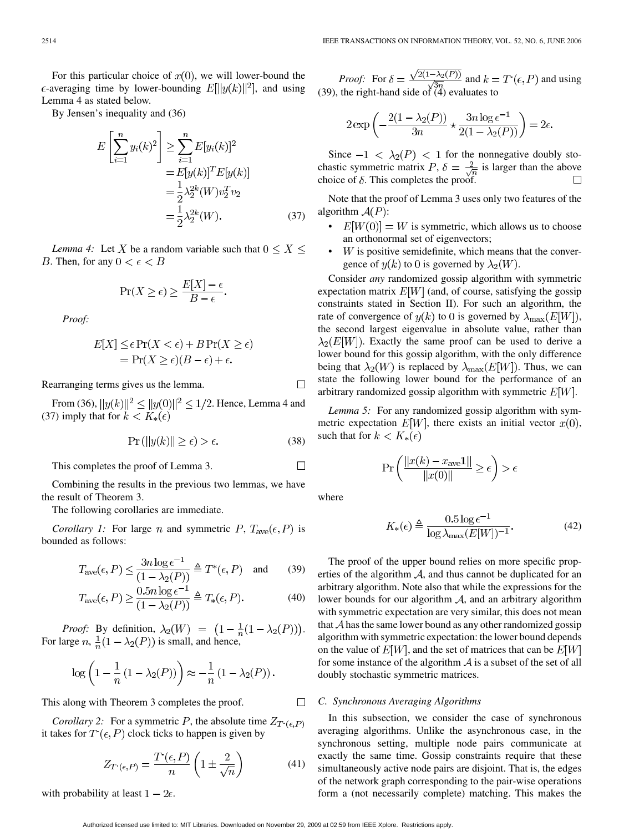For this particular choice of  $x(0)$ , we will lower-bound the  $\epsilon$ -averaging time by lower-bounding  $E[||y(k)||^2]$ , and using Lemma 4 as stated below.

By Jensen's inequality and (36)

$$
E\left[\sum_{i=1}^{n} y_i(k)^2\right] \ge \sum_{i=1}^{n} E[y_i(k)]^2
$$
  
=  $E[y(k)]^T E[y(k)]$   
=  $\frac{1}{2} \lambda_2^{2k} (W) v_2^T v_2$   
=  $\frac{1}{2} \lambda_2^{2k} (W).$  (37)

*Lemma 4:* Let X be a random variable such that  $0 \le X \le$ *B*. Then, for any  $0 < \epsilon < B$ 

$$
\Pr(X \ge \epsilon) \ge \frac{E[X] - \epsilon}{B - \epsilon}.
$$

*Proof:*

$$
E[X] \le \epsilon \Pr(X < \epsilon) + B \Pr(X \ge \epsilon) \\
= \Pr(X \ge \epsilon)(B - \epsilon) + \epsilon.
$$

Rearranging terms gives us the lemma.

From (36),  $||y(k)||^2 \le ||y(0)||^2 \le 1/2$ . Hence, Lemma 4 and (37) imply that for  $k < K_*(\epsilon)$ 

$$
\Pr\left(\|y(k)\| \ge \epsilon\right) > \epsilon. \tag{38}
$$

This completes the proof of Lemma 3.  $\Box$ 

Combining the results in the previous two lemmas, we have the result of Theorem 3.

The following corollaries are immediate.

*Corollary 1:* For large *n* and symmetric *P*,  $T_{ave}(\epsilon, P)$  is bounded as follows:

$$
T_{\text{ave}}(\epsilon, P) \le \frac{3n \log \epsilon^{-1}}{(1 - \lambda_2(P))} \triangleq T^*(\epsilon, P) \quad \text{and} \quad (39)
$$

$$
T_{\rm ave}(\epsilon, P) \ge \frac{0.5n \log \epsilon^{-1}}{(1 - \lambda_2(P))} \triangleq T_*(\epsilon, P). \tag{40}
$$

*Proof:* By definition,  $\lambda_2(W) = (1 - \frac{1}{n}(1 - \lambda_2(P))).$ For large  $n, \frac{1}{n}(1 - \lambda_2(P))$  is small, and hence,

$$
\log\left(1-\frac{1}{n}\left(1-\lambda_2(P)\right)\right) \approx -\frac{1}{n}\left(1-\lambda_2(P)\right).
$$

This along with Theorem 3 completes the proof.

*Corollary 2:* For a symmetric P, the absolute time  $Z_{T^*(\epsilon, P)}$ it takes for  $T(\epsilon, P)$  clock ticks to happen is given by

$$
Z_{T^*(\epsilon,P)} = \frac{T^*(\epsilon,P)}{n} \left(1 \pm \frac{2}{\sqrt{n}}\right) \tag{41}
$$

with probability at least  $1 - 2\epsilon$ .

*Proof:* For  $\delta = \frac{\sqrt{2(1-\lambda_2(1))}}{\sqrt{2n}}$  and  $k = T(\epsilon, P)$  and using (39), the right-hand side of  $\overline{4}$ ) evaluates to

$$
2 \exp\left(-\frac{2(1-\lambda_2(P))}{3n} \times \frac{3n \log \epsilon^{-1}}{2(1-\lambda_2(P))}\right) = 2\epsilon.
$$

Since  $-1 < \lambda_2(P) < 1$  for the nonnegative doubly stochastic symmetric matrix  $P, \delta = \frac{2}{\sqrt{n}}$  is larger than the above choice of  $\delta$ . This completes the proof.  $\Box$ 

Note that the proof of Lemma 3 uses only two features of the algorithm  $A(P)$ :

- $E[W(0)] = W$  is symmetric, which allows us to choose an orthonormal set of eigenvectors;
- $W$  is positive semidefinite, which means that the convergence of  $y(k)$  to 0 is governed by  $\lambda_2(W)$ .

Consider *any* randomized gossip algorithm with symmetric expectation matrix  $E[W]$  (and, of course, satisfying the gossip constraints stated in Section II). For such an algorithm, the rate of convergence of  $y(k)$  to 0 is governed by  $\lambda_{\max}(E[W]),$ the second largest eigenvalue in absolute value, rather than  $\lambda_2(E[W])$ . Exactly the same proof can be used to derive a lower bound for this gossip algorithm, with the only difference being that  $\lambda_2(W)$  is replaced by  $\lambda_{\max}(E[W])$ . Thus, we can state the following lower bound for the performance of an arbitrary randomized gossip algorithm with symmetric  $E[W]$ .

*Lemma 5:* For any randomized gossip algorithm with symmetric expectation  $E[W]$ , there exists an initial vector  $x(0)$ , such that for  $k < K_*(\epsilon)$ 

$$
\Pr\left(\frac{\|x(k) - x_{\text{ave}}\mathbf{1}\|}{\|x(0)\|} \ge \epsilon\right) > \epsilon
$$

where

 $\Box$ 

$$
K_*(\epsilon) \triangleq \frac{0.5 \log \epsilon^{-1}}{\log \lambda_{\max}(E[W])^{-1}}.
$$
 (42)

The proof of the upper bound relies on more specific properties of the algorithm  $A$ , and thus cannot be duplicated for an arbitrary algorithm. Note also that while the expressions for the lower bounds for our algorithm  $A$ , and an arbitrary algorithm with symmetric expectation are very similar, this does not mean that  $A$  has the same lower bound as any other randomized gossip algorithm with symmetric expectation: the lower bound depends on the value of  $E[W]$ , and the set of matrices that can be  $E[W]$ for some instance of the algorithm  $\mathcal A$  is a subset of the set of all doubly stochastic symmetric matrices.

#### *C. Synchronous Averaging Algorithms*

In this subsection, we consider the case of synchronous averaging algorithms. Unlike the asynchronous case, in the synchronous setting, multiple node pairs communicate at exactly the same time. Gossip constraints require that these simultaneously active node pairs are disjoint. That is, the edges of the network graph corresponding to the pair-wise operations form a (not necessarily complete) matching. This makes the

 $\Box$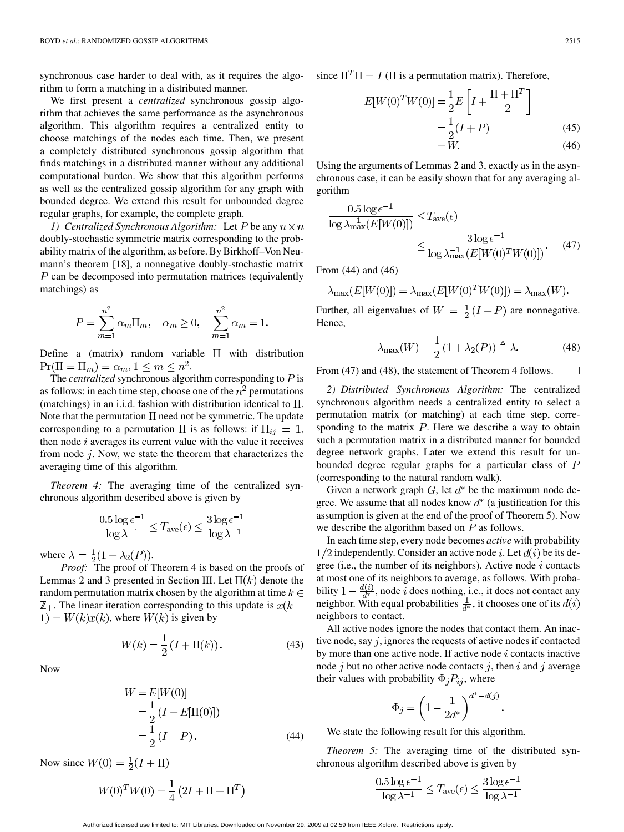synchronous case harder to deal with, as it requires the algorithm to form a matching in a distributed manner.

We first present a *centralized* synchronous gossip algorithm that achieves the same performance as the asynchronous algorithm. This algorithm requires a centralized entity to choose matchings of the nodes each time. Then, we present a completely distributed synchronous gossip algorithm that finds matchings in a distributed manner without any additional computational burden. We show that this algorithm performs as well as the centralized gossip algorithm for any graph with bounded degree. We extend this result for unbounded degree regular graphs, for example, the complete graph.

*1)* Centralized Synchronous Algorithm: Let P be any  $n \times n$ doubly-stochastic symmetric matrix corresponding to the probability matrix of the algorithm, as before. By Birkhoff–Von Neumann's theorem [\[18](#page-21-0)], a nonnegative doubly-stochastic matrix  $P$  can be decomposed into permutation matrices (equivalently matchings) as

$$
P = \sum_{m=1}^{n^2} \alpha_m \Pi_m, \quad \alpha_m \ge 0, \quad \sum_{m=1}^{n^2} \alpha_m = 1.
$$

Define a (matrix) random variable  $\Pi$  with distribution  $Pr(\Pi = \Pi_m) = \alpha_m, 1 \leq m \leq n^2.$ 

The  $centralized$  synchronous algorithm corresponding to  $\boldsymbol{P}$  is as follows: in each time step, choose one of the  $n^2$  permutations (matchings) in an i.i.d. fashion with distribution identical to  $\Pi$ . Note that the permutation  $\Pi$  need not be symmetric. The update corresponding to a permutation  $\Pi$  is as follows: if  $\Pi_{ij} = 1$ , then node  $i$  averages its current value with the value it receives from node  $j$ . Now, we state the theorem that characterizes the averaging time of this algorithm.

*Theorem 4:* The averaging time of the centralized synchronous algorithm described above is given by

$$
\frac{0.5\log \epsilon^{-1}}{\log \lambda^{-1}} \le T_{\text{ave}}(\epsilon) \le \frac{3\log \epsilon^{-1}}{\log \lambda^{-1}}
$$

where  $\lambda = \frac{1}{2}(1 + \lambda_2(P)).$ 

*Proof:* The proof of Theorem 4 is based on the proofs of Lemmas 2 and 3 presented in Section III. Let  $\Pi(k)$  denote the random permutation matrix chosen by the algorithm at time  $k \in$  $\mathbb{Z}_+$ . The linear iteration corresponding to this update is  $x(k + 1)$  $(1) = W(k)x(k)$ , where  $W(k)$  is given by

$$
W(k) = \frac{1}{2} (I + \Pi(k)).
$$
 (43)

Now

$$
W = E[W(0)]
$$
  
=  $\frac{1}{2} (I + E[\Pi(0)])$   
=  $\frac{1}{2} (I + P)$ . (44)

Now since  $W(0) = \frac{1}{2}(I + \Pi)$ 

$$
W(0)^T W(0) = \frac{1}{4} (2I + \Pi + \Pi^T)
$$

since  $\Pi^T \Pi = I$  ( $\Pi$  is a permutation matrix). Therefore,

$$
E[W(0)^T W(0)] = \frac{1}{2} E \left[ I + \frac{\Pi + \Pi^T}{2} \right]
$$
  
=  $\frac{1}{2} (I + P)$  (45)  
= W. (46)

Using the arguments of Lemmas 2 and 3, exactly as in the asynchronous case, it can be easily shown that for any averaging algorithm

$$
\frac{0.5 \log \epsilon^{-1}}{\log \lambda_{\text{max}}^{-1}(E[W(0)])} \leq T_{\text{ave}}(\epsilon)
$$

$$
\leq \frac{3 \log \epsilon^{-1}}{\log \lambda_{\text{max}}^{-1}(E[W(0)^T W(0)])}.
$$
(47)

From (44) and (46)

$$
\lambda_{\max}(E[W(0)]) = \lambda_{\max}(E[W(0)]^T W(0)]) = \lambda_{\max}(W).
$$

Further, all eigenvalues of  $W = \frac{1}{2}(I + P)$  are nonnegative. Hence,

$$
\lambda_{\max}(W) = \frac{1}{2} (1 + \lambda_2(P)) \stackrel{\Delta}{=} \lambda.
$$
 (48)

From  $(47)$  and  $(48)$ , the statement of Theorem 4 follows.  $\Box$ 

*2) Distributed Synchronous Algorithm:* The centralized synchronous algorithm needs a centralized entity to select a permutation matrix (or matching) at each time step, corresponding to the matrix  $P$ . Here we describe a way to obtain such a permutation matrix in a distributed manner for bounded degree network graphs. Later we extend this result for unbounded degree regular graphs for a particular class of  $P$ (corresponding to the natural random walk).

Given a network graph  $G$ , let  $d^*$  be the maximum node degree. We assume that all nodes know  $d^*$  (a justification for this assumption is given at the end of the proof of Theorem 5). Now we describe the algorithm based on  $P$  as follows.

In each time step, every node becomes *active* with probability  $1/2$  independently. Consider an active node *i*. Let  $d(i)$  be its degree (i.e., the number of its neighbors). Active node  $i$  contacts at most one of its neighbors to average, as follows. With probability  $1 - \frac{d(i)}{d^*}$ , node i does nothing, i.e., it does not contact any neighbor. With equal probabilities  $\frac{1}{d^*}$ , it chooses one of its  $d(i)$ neighbors to contact.

All active nodes ignore the nodes that contact them. An inactive node, say  $j$ , ignores the requests of active nodes if contacted by more than one active node. If active node  $i$  contacts inactive node j but no other active node contacts j, then i and j average their values with probability  $\Phi_i P_{ij}$ , where

$$
\Phi_j = \left(1 - \frac{1}{2d^*}\right)^{d^* - d(j)}
$$

We state the following result for this algorithm.

*Theorem 5:* The averaging time of the distributed synchronous algorithm described above is given by

$$
\frac{0.5\log \epsilon^{-1}}{\log \lambda^{-1}} \leq T_{\text{ave}}(\epsilon) \leq \frac{3\log \epsilon^{-1}}{\log \lambda^{-1}}
$$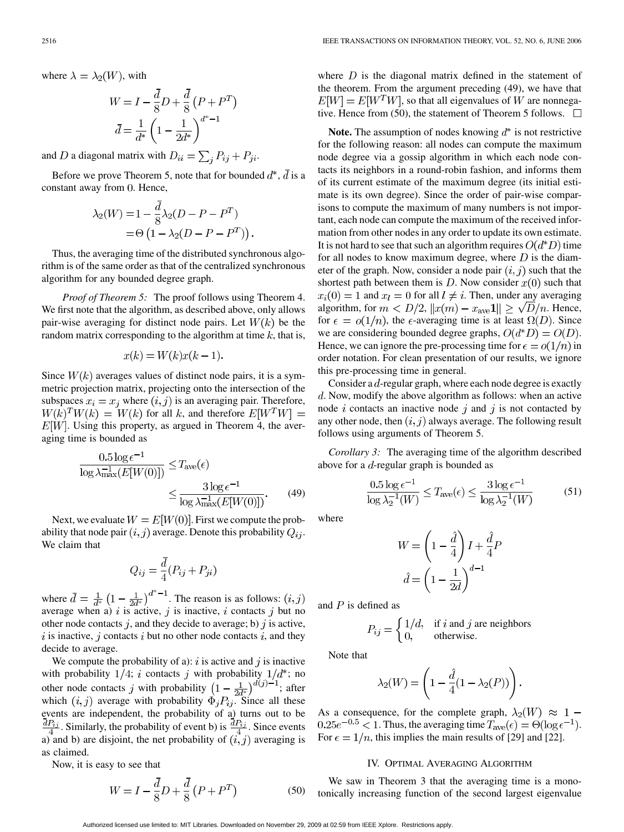where  $\lambda = \lambda_2(W)$ , with

$$
W = I - \frac{\overline{d}}{8}D + \frac{\overline{d}}{8}(P + P^{T})
$$

$$
\overline{d} = \frac{1}{d^{*}} \left(1 - \frac{1}{2d^{*}}\right)^{d^{*}-1}
$$

and D a diagonal matrix with  $D_{ii} = \sum_i P_{ij} + P_{ji}$ .

Before we prove Theorem 5, note that for bounded  $d^*, \overline{d}$  is a constant away from 0. Hence,

$$
\lambda_2(W) = 1 - \frac{d}{8}\lambda_2(D - P - P^T)
$$

$$
= \Theta \left(1 - \lambda_2(D - P - P^T)\right)
$$

Thus, the averaging time of the distributed synchronous algorithm is of the same order as that of the centralized synchronous algorithm for any bounded degree graph.

*Proof of Theorem 5:* The proof follows using Theorem 4. We first note that the algorithm, as described above, only allows pair-wise averaging for distinct node pairs. Let  $W(k)$  be the random matrix corresponding to the algorithm at time  $k$ , that is,

$$
x(k) = W(k)x(k-1).
$$

Since  $W(k)$  averages values of distinct node pairs, it is a symmetric projection matrix, projecting onto the intersection of the subspaces  $x_i = x_j$  where  $(i, j)$  is an averaging pair. Therefore,  $W(k)^T W(k) = W(k)$  for all k, and therefore  $E[W^T W] =$  $E[W]$ . Using this property, as argued in Theorem 4, the averaging time is bounded as

$$
\frac{0.5 \log \epsilon^{-1}}{\log \lambda_{\text{max}}^{-1}(E[W(0)])} \leq T_{\text{ave}}(\epsilon)
$$

$$
\leq \frac{3 \log \epsilon^{-1}}{\log \lambda_{\text{max}}^{-1}(E[W(0)])}.
$$
(49)

Next, we evaluate  $W = E[W(0)]$ . First we compute the probability that node pair  $(i, j)$  average. Denote this probability  $Q_{ij}$ . We claim that

$$
Q_{ij} = \frac{\bar{d}}{4} (P_{ij} + P_{ji})
$$

where  $\bar{d} = \frac{1}{d^*} \left(1 - \frac{1}{2d^*}\right)^{d^*-1}$ . The reason is as follows:  $(i, j)$ average when a) i is active, j is inactive, i contacts j but no other node contacts  $j$ , and they decide to average; b)  $j$  is active, is inactive, j contacts i but no other node contacts i, and they decide to average.

We compute the probability of a):  $i$  is active and  $j$  is inactive with probability  $1/4$ ; i contacts j with probability  $1/d^*$ ; no other node contacts j with probability  $(1 - \frac{1}{2d^*})^{d(j)-1}$ ; after which  $(i, j)$  average with probability  $\hat{\Phi}_j P_{ij}$ . Since all these events are independent, the probability of a) turns out to be . Similarly, the probability of event b) is  $\frac{aF_{ij}}{4}$ . Since events a) and b) are disjoint, the net probability of  $(i, j)$  averaging is as claimed.

Now, it is easy to see that

$$
W = I - \frac{\bar{d}}{8}D + \frac{\bar{d}}{8}(P + P^{T})
$$
 (50)

where  $D$  is the diagonal matrix defined in the statement of the theorem. From the argument preceding (49), we have that  $E[W] = E[W^T W]$ , so that all eigenvalues of W are nonnegative. Hence from (50), the statement of Theorem 5 follows.  $\Box$ 

**Note.** The assumption of nodes knowing  $d^*$  is not restrictive for the following reason: all nodes can compute the maximum node degree via a gossip algorithm in which each node contacts its neighbors in a round-robin fashion, and informs them of its current estimate of the maximum degree (its initial estimate is its own degree). Since the order of pair-wise comparisons to compute the maximum of many numbers is not important, each node can compute the maximum of the received information from other nodes in any order to update its own estimate. It is not hard to see that such an algorithm requires  $O(d^*D)$  time for all nodes to know maximum degree, where  $D$  is the diameter of the graph. Now, consider a node pair  $(i, j)$  such that the shortest path between them is  $D$ . Now consider  $x(0)$  such that  $x_i(0) = 1$  and  $x_l = 0$  for all  $l \neq i$ . Then, under any averaging algorithm, for  $m < D/2$ ,  $||x(m) - x_{ave}|| \ge \sqrt{D/n}$ . Hence, for  $\epsilon = o(1/n)$ , the  $\epsilon$ -averaging time is at least  $\Omega(D)$ . Since we are considering bounded degree graphs,  $O(d^*D) = O(D)$ . Hence, we can ignore the pre-processing time for  $\epsilon = o(1/n)$  in order notation. For clean presentation of our results, we ignore this pre-processing time in general.

Consider a  $d$ -regular graph, where each node degree is exactly d. Now, modify the above algorithm as follows: when an active node i contacts an inactive node j and j is not contacted by any other node, then  $(i, j)$  always average. The following result follows using arguments of Theorem 5.

*Corollary 3:* The averaging time of the algorithm described above for a  $d$ -regular graph is bounded as

$$
\frac{0.5\log\epsilon^{-1}}{\log\lambda_2^{-1}(W)} \le T_{\text{ave}}(\epsilon) \le \frac{3\log\epsilon^{-1}}{\log\lambda_2^{-1}(W)}\tag{51}
$$

where

$$
W = \left(1 - \frac{\hat{d}}{4}\right)I + \frac{\hat{d}}{4}P
$$

$$
\hat{d} = \left(1 - \frac{1}{2d}\right)^{d-1}
$$

and  $P$  is defined as

$$
P_{ij} = \begin{cases} 1/d, & \text{if } i \text{ and } j \text{ are neighbors} \\ 0, & \text{otherwise.} \end{cases}
$$

Note that

$$
\lambda_2(W)=\left(1-\frac{\widehat d}{4}(1-\lambda_2(P))\right)
$$

As a consequence, for the complete graph,  $\lambda_2(W) \approx 1$  –  $0.25e^{-0.5} < 1$ . Thus, the averaging time  $T_{\text{ave}}(\epsilon) = \Theta(\log \epsilon^{-1})$ . For  $\epsilon = 1/n$ , this implies the main results of [\[29](#page-21-0)] and [\[22](#page-21-0)].

## IV. OPTIMAL AVERAGING ALGORITHM

We saw in Theorem 3 that the averaging time is a monotonically increasing function of the second largest eigenvalue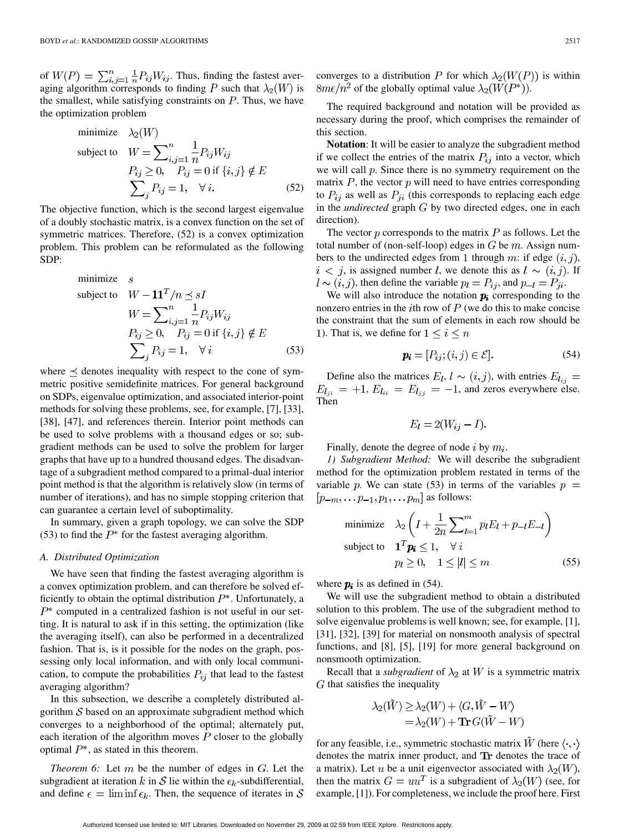of  $W(P) = \sum_{i=1}^{n} \frac{1}{n} P_{ij} W_{ij}$ . Thus, finding the fastest averaging algorithm corresponds to finding P such that  $\lambda_2(W)$  is the smallest, while satisfying constraints on  $P$ . Thus, we have the optimization problem

minimize 
$$
\lambda_2(W)
$$
  
\nsubject to  $W = \sum_{i,j=1}^n \frac{1}{n} P_{ij} W_{ij}$   
\n $P_{ij} \ge 0, \quad P_{ij} = 0$  if  $\{i, j\} \notin E$   
\n $\sum_j P_{ij} = 1, \quad \forall i.$  (52)

The objective function, which is the second largest eigenvalue of a doubly stochastic matrix, is a convex function on the set of symmetric matrices. Therefore, (52) is a convex optimization problem. This problem can be reformulated as the following SDP:

minimize 
$$
s
$$
  
\nsubject to  $W - 11^T/n \le sI$   
\n $W = \sum_{i,j=1}^n \frac{1}{n} P_{ij} W_{ij}$   
\n $P_{ij} \ge 0, \quad P_{ij} = 0 \text{ if } \{i,j\} \notin E$   
\n $\sum_j P_{ij} = 1, \quad \forall i$  (53)

where  $\preceq$  denotes inequality with respect to the cone of symmetric positive semidefinite matrices. For general background on SDPs, eigenvalue optimization, and associated interior-point methods for solving these problems, see, for example, [\[7](#page-21-0)], [\[33](#page-21-0)], [\[38](#page-21-0)], [\[47](#page-22-0)], and references therein. Interior point methods can be used to solve problems with a thousand edges or so; subgradient methods can be used to solve the problem for larger graphs that have up to a hundred thousand edges. The disadvantage of a subgradient method compared to a primal-dual interior point method is that the algorithm is relatively slow (in terms of number of iterations), and has no simple stopping criterion that can guarantee a certain level of suboptimality.

In summary, given a graph topology, we can solve the SDP (53) to find the  $P^*$  for the fastest averaging algorithm.

#### *A. Distributed Optimization*

We have seen that finding the fastest averaging algorithm is a convex optimization problem, and can therefore be solved efficiently to obtain the optimal distribution  $P^*$ . Unfortunately, a  $P^*$  computed in a centralized fashion is not useful in our setting. It is natural to ask if in this setting, the optimization (like the averaging itself), can also be performed in a decentralized fashion. That is, is it possible for the nodes on the graph, possessing only local information, and with only local communication, to compute the probabilities  $P_{ij}$  that lead to the fastest averaging algorithm?

In this subsection, we describe a completely distributed algorithm  $\mathcal S$  based on an approximate subgradient method which converges to a neighborhood of the optimal; alternately put, each iteration of the algorithm moves  $P$  closer to the globally optimal  $P^*$ , as stated in this theorem.

*Theorem 6:* Let  $m$  be the number of edges in  $G$ . Let the subgradient at iteration k in S lie within the  $\epsilon_k$ -subdifferential, and define  $\epsilon = \liminf \epsilon_k$ . Then, the sequence of iterates in S

The required background and notation will be provided as necessary during the proof, which comprises the remainder of this section.

**Notation**: It will be easier to analyze the subgradient method if we collect the entries of the matrix  $P_{ij}$  into a vector, which we will call  $p$ . Since there is no symmetry requirement on the matrix  $P$ , the vector  $p$  will need to have entries corresponding to  $P_{ij}$  as well as  $P_{ji}$  (this corresponds to replacing each edge in the *undirected* graph G by two directed edges, one in each direction).

The vector p corresponds to the matrix  $P$  as follows. Let the total number of (non-self-loop) edges in  $G$  be  $m$ . Assign numbers to the undirected edges from 1 through m: if edge  $(i, j)$ ,  $i < j$ , is assigned number l, we denote this as  $l \sim (i, j)$ . If  $l \sim (i, j)$ , then define the variable  $p_l = P_{ij}$ , and  $p_{-l} = P_{ji}$ .

We will also introduce the notation  $p_i$  corresponding to the nonzero entries in the *i*th row of  $P$  (we do this to make concise the constraint that the sum of elements in each row should be 1). That is, we define for  $1 \leq i \leq n$ 

$$
\mathbf{p_i} = [P_{ij}; (i,j) \in \mathcal{E}].\tag{54}
$$

Define also the matrices  $E_l, l \sim (i, j)$ , with entries ,  $E_{l_{ij}} = E_{l_{ij}} = -1$ , and zeros everywhere else. Then

$$
E_l = 2(W_{ij} - I).
$$

Finally, denote the degree of node i by  $m_i$ .

*1) Subgradient Method:* We will describe the subgradient method for the optimization problem restated in terms of the variable p. We can state (53) in terms of the variables  $p =$  $[p_{-m}, \ldots p_{-1}, p_1, \ldots p_m]$  as follows:

minimize 
$$
\lambda_2 \left( I + \frac{1}{2n} \sum_{l=1}^{m} p_l E_l + p_{-l} E_{-l} \right)
$$
  
subject to  $\mathbf{1}^T \mathbf{p_i} \leq 1, \quad \forall i$   
 $p_l \geq 0, \quad 1 \leq |l| \leq m$  (55)

where  $p_i$  is as defined in (54).

We will use the subgradient method to obtain a distributed solution to this problem. The use of the subgradient method to solve eigenvalue problems is well known; see, for example, [\[1](#page-21-0)], [\[31](#page-21-0)], [\[32](#page-21-0)], [\[39](#page-21-0)] for material on nonsmooth analysis of spectral functions, and [[8\]](#page-21-0), [[5\]](#page-21-0), [[19\]](#page-21-0) for more general background on nonsmooth optimization.

Recall that a *subgradient* of  $\lambda_2$  at W is a symmetric matrix  $G$  that satisfies the inequality

$$
\lambda_2(\tilde{W}) \ge \lambda_2(W) + \langle G, \tilde{W} - W \rangle
$$
  
=  $\lambda_2(W) + \text{Tr } G(\tilde{W} - W)$ 

for any feasible, i.e., symmetric stochastic matrix  $\tilde{W}$  (here  $\langle \cdot, \cdot \rangle$ ) denotes the matrix inner product, and  $\mathbf{Tr}$  denotes the trace of a matrix). Let u be a unit eigenvector associated with  $\lambda_2(W)$ , then the matrix  $G = uu^T$  is a subgradient of  $\lambda_2(W)$  (see, for example, [\[1](#page-21-0)]). For completeness, we include the proof here. First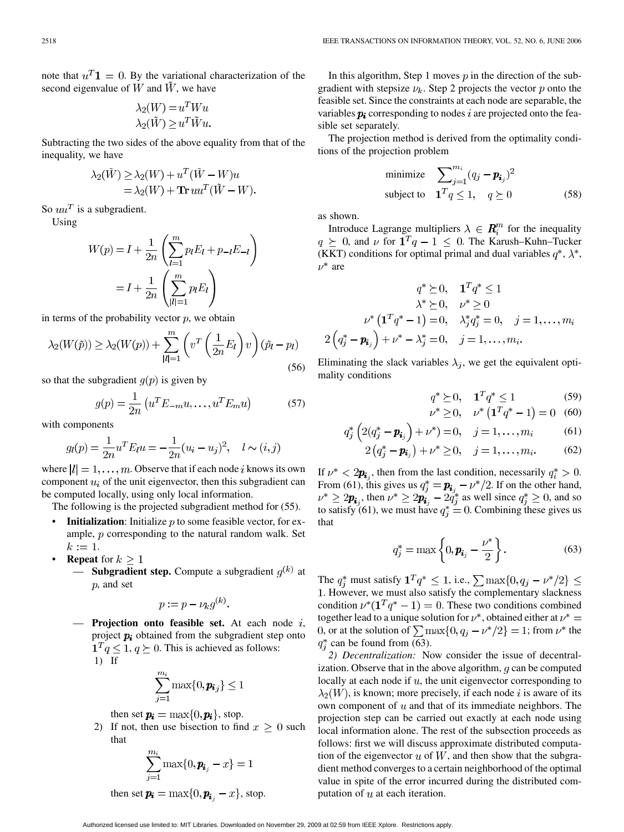note that  $u^T \mathbf{1} = 0$ . By the variational characterization of the second eigenvalue of W and  $\tilde{W}$ , we have

$$
\lambda_2(W) = u^T W u
$$
  

$$
\lambda_2(\tilde{W}) \ge u^T \tilde{W} u
$$

Subtracting the two sides of the above equality from that of the inequality, we have

$$
\lambda_2(W) \ge \lambda_2(W) + u^T(W - W)u
$$
  
=  $\lambda_2(W) + \text{Tr} uu^T(\tilde{W} - W).$ 

So  $uu^T$  is a subgradient.

Using

$$
W(p) = I + \frac{1}{2n} \left( \sum_{l=1}^{m} p_l E_l + p_{-l} E_{-l} \right)
$$
  
=  $I + \frac{1}{2n} \left( \sum_{|l|=1}^{m} p_l E_l \right)$ 

in terms of the probability vector  $p$ , we obtain

$$
\lambda_2(W(\tilde{p})) \ge \lambda_2(W(p)) + \sum_{|l|=1}^m \left( v^T \left( \frac{1}{2n} E_l \right) v \right) (\tilde{p}_l - p_l)
$$
\n(56)

so that the subgradient  $g(p)$  is given by

$$
g(p) = \frac{1}{2n} \left( u^T E_{-m} u, \dots, u^T E_m u \right) \tag{57}
$$

with components

$$
g_l(p) = \frac{1}{2n} u^T E_l u = -\frac{1}{2n} (u_i - u_j)^2, \quad l \sim (i, j)
$$

where  $|l| = 1, \ldots, m$ . Observe that if each node i knows its own component  $u_i$  of the unit eigenvector, then this subgradient can be computed locally, using only local information.

The following is the projected subgradient method for (55).

- **Initialization**: Initialize  $p$  to some feasible vector, for example,  $p$  corresponding to the natural random walk. Set  $k \coloneqq 1$ .
- **Repeat** for  $k \geq 1$ 
	- **Subgradient step.** Compute a subgradient  $g^{(k)}$  at  $p$ , and set

$$
p := p - \nu_k g^{(k)}.
$$

— **Projection onto feasible set.** At each node i, project  $p_i$  obtained from the subgradient step onto  $\mathbf{1}^T q \leq 1, q \succeq 0$ . This is achieved as follows: 1) If

$$
\sum_{j=1}^{m_i} \max\{0, p_{ij}\} \le 1
$$

then set  $p_i = \max\{0, p_i\}$ , stop.

2) If not, then use bisection to find  $x \geq 0$  such that

$$
\sum_{j=1}^{m_i} \max\{0, \pmb{p}_{\pmb{i}_j} - x\} = 1
$$

then set  $p_i = \max\{0, p_{i_j} - x\}$ , stop.

In this algorithm, Step 1 moves  $p$  in the direction of the subgradient with stepsize  $\nu_k$ . Step 2 projects the vector p onto the feasible set. Since the constraints at each node are separable, the variables  $p_i$  corresponding to nodes i are projected onto the feasible set separately.

The projection method is derived from the optimality conditions of the projection problem

minimize 
$$
\sum_{j=1}^{m_i} (q_j - p_{i_j})^2
$$
  
subject to 
$$
\mathbf{1}^T q \le 1, \quad q \succeq 0
$$
 (58)

as shown.

Introduce Lagrange multipliers  $\lambda \in \mathbb{R}_i^m$  for the inequality  $q \geq 0$ , and  $\nu$  for  $\mathbf{1}^T q - 1 \leq 0$ . The Karush–Kuhn–Tucker (KKT) conditions for optimal primal and dual variables  $q^*, \lambda^*,$  $\nu^*$  are

$$
q^* \geq 0, \quad \mathbf{1}^T q^* \leq 1
$$
  

$$
\lambda^* \geq 0, \quad \nu^* \geq 0
$$
  

$$
\nu^* (\mathbf{1}^T q^* - 1) = 0, \quad \lambda_j^* q_j^* = 0, \quad j = 1, ..., m_i
$$
  

$$
2(q_j^* - p_{i_j}) + \nu^* - \lambda_j^* = 0, \quad j = 1, ..., m_i.
$$

Eliminating the slack variables  $\lambda_i$ , we get the equivalent optimality conditions

$$
q^* \succeq 0, \quad \mathbf{1}^T q^* \le 1 \tag{59}
$$

$$
\nu^* \ge 0, \quad \nu^* \left( \mathbf{1}^T q^* - 1 \right) = 0 \quad (60)
$$

$$
q_j^* \left( 2(q_j^* - \mathbf{p}_{i_j}) + \nu^* \right) = 0, \quad j = 1, \dots, m_i \tag{61}
$$

$$
2(q_j^* - p_{i_j}) + \nu^* \ge 0, \quad j = 1, ..., m_i.
$$
 (62)

If  $\nu^* < 2p_i$ , then from the last condition, necessarily  $q_i^* > 0$ . From (61), this gives us  $q_i^* = \mathbf{p_i} - \nu^*/2$ . If on the other hand, , then  $\nu^* \geq 2p_{i} - 2q_i^*$  as well since  $q_i^* \geq 0$ , and so to satisfy (61), we must have  $q_i^* = 0$ . Combining these gives us that

$$
q_j^* = \max\left\{0, \mathbf{p}_{\mathbf{i}_j} - \frac{\nu^*}{2}\right\}.
$$
 (63)

The  $q_i^*$  must satisfy  $\mathbf{1}^T q^* \leq 1$ , i.e.,  $\sum \max\{0, q_j - \nu^*/2\} \leq$ . However, we must also satisfy the complementary slackness condition  $\nu^*(\mathbf{1}^T q^* - 1) = 0$ . These two conditions combined together lead to a unique solution for  $\nu^*$ , obtained either at  $\nu^* =$ 0, or at the solution of  $\sum \max\{0, q_j - \nu^*/2\} = 1$ ; from  $\nu^*$  the  $q_i^*$  can be found from (63).

*2) Decentralization:* Now consider the issue of decentralization. Observe that in the above algorithm,  $q$  can be computed locally at each node if  $u$ , the unit eigenvector corresponding to  $\lambda_2(W)$ , is known; more precisely, if each node i is aware of its own component of  $u$  and that of its immediate neighbors. The projection step can be carried out exactly at each node using local information alone. The rest of the subsection proceeds as follows: first we will discuss approximate distributed computation of the eigenvector  $u$  of  $W$ , and then show that the subgradient method converges to a certain neighborhood of the optimal value in spite of the error incurred during the distributed computation of  $u$  at each iteration.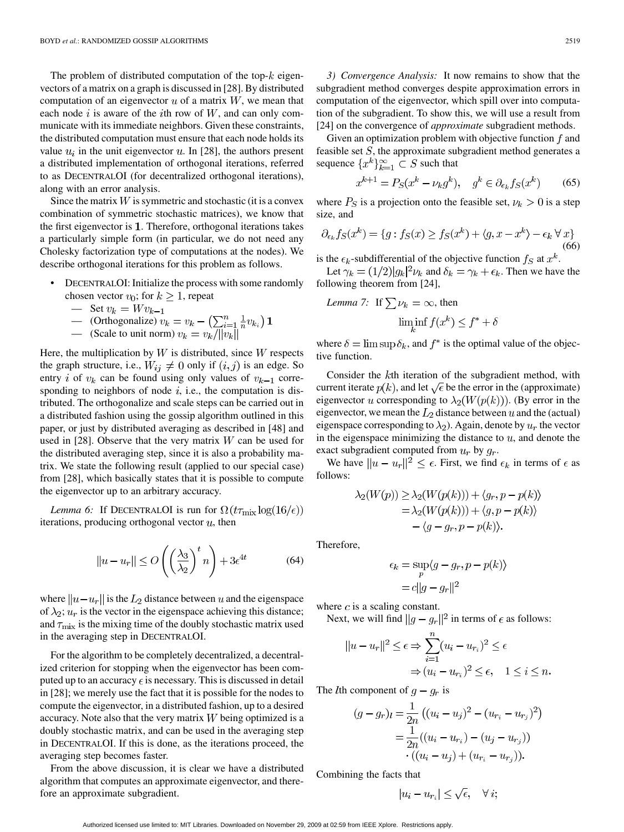The problem of distributed computation of the top- $k$  eigenvectors of a matrix on a graph is discussed in [[28\]](#page-21-0). By distributed computation of an eigenvector  $u$  of a matrix  $W$ , we mean that each node i is aware of the ith row of  $W$ , and can only communicate with its immediate neighbors. Given these constraints, the distributed computation must ensure that each node holds its value  $u_i$  in the unit eigenvector  $u$ . In [\[28](#page-21-0)], the authors present a distributed implementation of orthogonal iterations, referred to as DECENTRALOI (for decentralized orthogonal iterations), along with an error analysis.

Since the matrix  $W$  is symmetric and stochastic (it is a convex combination of symmetric stochastic matrices), we know that the first eigenvector is  $1$ . Therefore, orthogonal iterations takes a particularly simple form (in particular, we do not need any Cholesky factorization type of computations at the nodes). We describe orthogonal iterations for this problem as follows.

• DECENTRALOI: Initialize the process with some randomly chosen vector  $v_0$ ; for  $k > 1$ , repeat

 $\sum$  Set  $v_k = Wv_{k-1}$ 

$$
- \quad \text{(Orthogonalize) } v_k = v_k - \left( \sum_{i=1}^n \frac{1}{n} v_{k_i} \right) 1
$$

- (Scale to unit norm) 
$$
v_k = v_k / ||v_k||
$$

Here, the multiplication by  $W$  is distributed, since  $W$  respects the graph structure, i.e.,  $W_{ij} \neq 0$  only if  $(i, j)$  is an edge. So entry i of  $v_k$  can be found using only values of  $v_{k-1}$  corresponding to neighbors of node  $i$ , i.e., the computation is distributed. The orthogonalize and scale steps can be carried out in a distributed fashion using the gossip algorithm outlined in this paper, or just by distributed averaging as described in [[48\]](#page-22-0) and used in [[28\]](#page-21-0). Observe that the very matrix  $W$  can be used for the distributed averaging step, since it is also a probability matrix. We state the following result (applied to our special case) from [[28\]](#page-21-0), which basically states that it is possible to compute the eigenvector up to an arbitrary accuracy.

*Lemma 6:* If DECENTRALOI is run for  $\Omega(t\tau_{\text{mix}}\log(16/\epsilon))$ iterations, producing orthogonal vector  $u$ , then

$$
||u - u_r|| \le O\left(\left(\frac{\lambda_3}{\lambda_2}\right)^t n\right) + 3\epsilon^{4t} \tag{64}
$$

where  $||u - u_r||$  is the  $L_2$  distance between u and the eigenspace of  $\lambda_2$ ;  $u_r$  is the vector in the eigenspace achieving this distance; and  $\tau_{\rm mix}$  is the mixing time of the doubly stochastic matrix used in the averaging step in DECENTRALOI.

For the algorithm to be completely decentralized, a decentralized criterion for stopping when the eigenvector has been computed up to an accuracy  $\epsilon$  is necessary. This is discussed in detail in [\[28](#page-21-0)]; we merely use the fact that it is possible for the nodes to compute the eigenvector, in a distributed fashion, up to a desired accuracy. Note also that the very matrix  $W$  being optimized is a doubly stochastic matrix, and can be used in the averaging step in DECENTRALOI. If this is done, as the iterations proceed, the averaging step becomes faster.

From the above discussion, it is clear we have a distributed algorithm that computes an approximate eigenvector, and therefore an approximate subgradient.

*3) Convergence Analysis:* It now remains to show that the subgradient method converges despite approximation errors in computation of the eigenvector, which spill over into computation of the subgradient. To show this, we will use a result from [\[24](#page-21-0)] on the convergence of *approximate* subgradient methods.

Given an optimization problem with objective function  $f$  and feasible set  $S$ , the approximate subgradient method generates a sequence  $\{x^k\}_{k=1}^{\infty} \subset S$  such that

$$
x^{k+1} = P_S(x^k - \nu_k g^k), \quad g^k \in \partial_{\epsilon_k} f_S(x^k) \tag{65}
$$

where  $P_S$  is a projection onto the feasible set,  $\nu_k > 0$  is a step size, and

$$
\partial_{\epsilon_k} f_S(x^k) = \{ g : f_S(x) \ge f_S(x^k) + \langle g, x - x^k \rangle - \epsilon_k \,\forall \, x \}
$$
\n(66)

is the  $\epsilon_k$ -subdifferential of the objective function  $f_S$  at  $x^k$ .

Let  $\gamma_k = (1/2)|g_k|^2 \nu_k$  and  $\delta_k = \gamma_k + \epsilon_k$ . Then we have the following theorem from [\[24](#page-21-0)],

Lemma 7: If 
$$
\sum \nu_k = \infty
$$
, then  
\n
$$
\liminf_k f(x^k) \le f^* + \delta
$$

where  $\delta = \limsup \delta_k$ , and  $f^*$  is the optimal value of the objective function.

Consider the kth iteration of the subgradient method, with current iterate  $p(k)$ , and let  $\sqrt{\epsilon}$  be the error in the (approximate) eigenvector u corresponding to  $\lambda_2(W(p(k)))$ . (By error in the eigenvector, we mean the  $L_2$  distance between u and the (actual) eigenspace corresponding to  $\lambda_2$ ). Again, denote by  $u_r$  the vector in the eigenspace minimizing the distance to  $u$ , and denote the exact subgradient computed from  $u_r$  by  $g_r$ .

We have  $||u - u_r||^2 \leq \epsilon$ . First, we find  $\epsilon_k$  in terms of  $\epsilon$  as follows:

$$
\lambda_2(W(p)) \ge \lambda_2(W(p(k))) + \langle g_r, p - p(k) \rangle
$$
  
=  $\lambda_2(W(p(k))) + \langle g, p - p(k) \rangle$   
-  $\langle g - g_r, p - p(k) \rangle$ .

Therefore,

$$
\begin{aligned} \epsilon_k &= \sup_p \langle g - g_r, p - p(k) \rangle \\ &= c ||g - g_r||^2 \end{aligned}
$$

where  $c$  is a scaling constant.

Next, we will find  $||g - g_r||^2$  in terms of  $\epsilon$  as follows:

$$
||u - u_r||^2 \le \epsilon \Rightarrow \sum_{i=1}^n (u_i - u_{r_i})^2 \le \epsilon
$$
  

$$
\Rightarrow (u_i - u_{r_i})^2 \le \epsilon, \quad 1 \le i \le n.
$$

The *l*th component of  $g - g_r$  is

$$
(g - g_r)_l = \frac{1}{2n} ((u_i - u_j)^2 - (u_{r_i} - u_{r_j})^2)
$$
  
= 
$$
\frac{1}{2n} ((u_i - u_{r_i}) - (u_j - u_{r_j}))
$$
  
· 
$$
((u_i - u_j) + (u_{r_i} - u_{r_j})).
$$

Combining the facts that

$$
u_i - u_{r_i} \le \sqrt{\epsilon}, \quad \forall \ i;
$$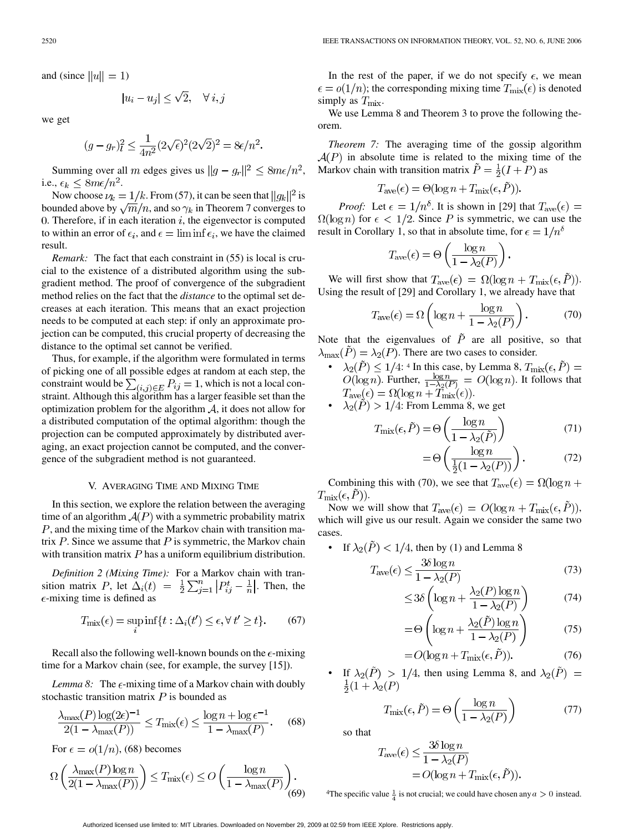and (since  $||u|| = 1$ )

$$
|u_i - u_j| \le \sqrt{2}, \quad \forall i, j
$$

we get

$$
(g - g_r)_l^2 \le \frac{1}{4n^2} (2\sqrt{\epsilon})^2 (2\sqrt{2})^2 = 8\epsilon/n^2
$$

Summing over all m edges gives us  $||g - g_r||^2 \leq 8m\epsilon/n^2$ , i.e.,  $\epsilon_k \leq 8m\epsilon/n^2$ .

Now choose  $\nu_k = 1/k$ . From (57), it can be seen that  $||g_k||^2$  is bounded above by  $\sqrt{m}/n$ , and so  $\gamma_k$  in Theorem 7 converges to 0. Therefore, if in each iteration  $i$ , the eigenvector is computed to within an error of  $\epsilon_i$ , and  $\epsilon = \liminf \epsilon_i$ , we have the claimed result.

*Remark:* The fact that each constraint in (55) is local is crucial to the existence of a distributed algorithm using the subgradient method. The proof of convergence of the subgradient method relies on the fact that the *distance* to the optimal set decreases at each iteration. This means that an exact projection needs to be computed at each step: if only an approximate projection can be computed, this crucial property of decreasing the distance to the optimal set cannot be verified.

Thus, for example, if the algorithm were formulated in terms of picking one of all possible edges at random at each step, the constraint would be  $\sum_{(i,j)\in E} P_{ij} = 1$ , which is not a local constraint. Although this algorithm has a larger feasible set than the optimization problem for the algorithm  $A$ , it does not allow for a distributed computation of the optimal algorithm: though the projection can be computed approximately by distributed averaging, an exact projection cannot be computed, and the convergence of the subgradient method is not guaranteed.

#### V. AVERAGING TIME AND MIXING TIME

In this section, we explore the relation between the averaging time of an algorithm  $A(P)$  with a symmetric probability matrix  $P$ , and the mixing time of the Markov chain with transition matrix  $P$ . Since we assume that  $P$  is symmetric, the Markov chain with transition matrix  $P$  has a uniform equilibrium distribution.

*Definition 2 (Mixing Time):* For a Markov chain with transition matrix P, let  $\Delta_i(t) = \frac{1}{2} \sum_{j=1}^n |P_{ij}^t - \frac{1}{n}|$ . Then, the  $\epsilon$ -mixing time is defined as

$$
T_{\text{mix}}(\epsilon) = \sup_{i} \inf \{ t : \Delta_i(t') \le \epsilon, \forall \ t' \ge t \}. \tag{67}
$$

Recall also the following well-known bounds on the  $\epsilon$ -mixing time for a Markov chain (see, for example, the survey [\[15](#page-21-0)]).

*Lemma 8:* The  $\epsilon$ -mixing time of a Markov chain with doubly stochastic transition matrix  $P$  is bounded as

$$
\frac{\lambda_{\max}(P)\log(2\epsilon)^{-1}}{2(1-\lambda_{\max}(P))} \le T_{\max}(\epsilon) \le \frac{\log n + \log \epsilon^{-1}}{1-\lambda_{\max}(P)}.\tag{68}
$$

For  $\epsilon = o(1/n)$ , (68) becomes

$$
\Omega\left(\frac{\lambda_{\max}(P)\log n}{2(1-\lambda_{\max}(P))}\right) \le T_{\min}(\epsilon) \le O\left(\frac{\log n}{1-\lambda_{\max}(P)}\right).
$$
\n(69)

In the rest of the paper, if we do not specify  $\epsilon$ , we mean  $\epsilon = o(1/n)$ ; the corresponding mixing time  $T_{\text{mix}}(\epsilon)$  is denoted simply as  $T_{\text{mix}}$ .

We use Lemma 8 and Theorem 3 to prove the following theorem.

*Theorem 7:* The averaging time of the gossip algorithm  $A(P)$  in absolute time is related to the mixing time of the Markov chain with transition matrix  $\tilde{P} = \frac{1}{2}(I + P)$  as

$$
T_{\text{ave}}(\epsilon) = \Theta(\log n + T_{\text{mix}}(\epsilon, P)).
$$

*Proof:* Let  $\epsilon = 1/n^{\delta}$ . It is shown in [\[29](#page-21-0)] that  $T_{ave}(\epsilon) =$  $\Omega(\log n)$  for  $\epsilon < 1/2$ . Since P is symmetric, we can use the result in Corollary 1, so that in absolute time, for  $\epsilon = 1/n^{\delta}$ 

$$
T_{\text{ave}}(\epsilon) = \Theta\left(\frac{\log n}{1 - \lambda_2(P)}\right).
$$

We will first show that  $T_{ave}(\epsilon) = \Omega(\log n + T_{mix}(\epsilon, \hat{P}))$ . Using the result of [\[29](#page-21-0)] and Corollary 1, we already have that

$$
T_{\text{ave}}(\epsilon) = \Omega \left( \log n + \frac{\log n}{1 - \lambda_2(P)} \right). \tag{70}
$$

Note that the eigenvalues of  $\tilde{P}$  are all positive, so that  $\lambda_{\text{max}}(\tilde{P}) = \lambda_2(P)$ . There are two cases to consider.

- $\lambda_2(P) \leq 1/4$ : 4 In this case, by Lemma 8, . Further,  $\frac{\log n}{1-\lambda_0(P)} = O(\log n)$ . It follows that .
- $\lambda_2(\tilde{P}) > 1/4$ : From Lemma 8, we get

$$
T_{\text{mix}}(\epsilon, \tilde{P}) = \Theta\left(\frac{\log n}{1 - \lambda_2(\tilde{P})}\right)
$$
(71)

$$
= \Theta\left(\frac{\log n}{\frac{1}{2}(1 - \lambda_2(P))}\right). \tag{72}
$$

Combining this with (70), we see that  $T_{ave}(\epsilon) = \Omega(\log n + \epsilon)$  $T_{\text{mix}}(\epsilon, P)$ ).

Now we will show that  $T_{\text{ave}}(\epsilon) = O(\log n + T_{\text{mix}}(\epsilon, \tilde{P})),$ which will give us our result. Again we consider the same two cases.

• If  $\lambda_2(\tilde{P}) < 1/4$ , then by (1) and Lemma 8

$$
T_{\text{ave}}(\epsilon) \le \frac{3\delta \log n}{1 - \lambda_2(P)}\tag{73}
$$

$$
\leq 3\delta \left( \log n + \frac{\lambda_2(P) \log n}{1 - \lambda_2(P)} \right) \tag{74}
$$

$$
= \Theta\left(\log n + \frac{\lambda_2(\tilde{P})\log n}{1 - \lambda_2(P)}\right) \tag{75}
$$

$$
=O(\log n + T_{\text{mix}}(\epsilon, \tilde{P})).\tag{76}
$$

• If  $\lambda_2(\tilde{P}) > 1/4$ , then using Lemma 8, and  $\lambda_2(\tilde{P}) = \frac{1}{2}(1 + \lambda_2(P))$ 

$$
T_{\text{mix}}(\epsilon, \tilde{P}) = \Theta\left(\frac{\log n}{1 - \lambda_2(P)}\right) \tag{77}
$$

so that

$$
T_{\text{ave}}(\epsilon) \le \frac{3\delta \log n}{1 - \lambda_2(P)}
$$
  
=  $O(\log n + T_{\text{mix}}(\epsilon, \tilde{P})).$ 

<sup>4</sup>The specific value  $\frac{1}{4}$  is not crucial; we could have chosen any  $a > 0$  instead.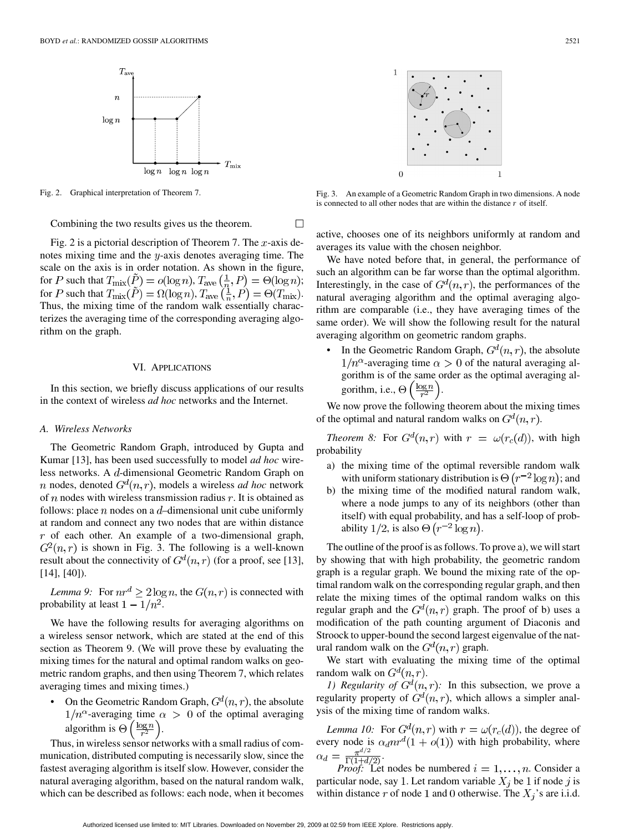

Fig. 2. Graphical interpretation of Theorem 7.

Combining the two results gives us the theorem.

 $\Box$ 

Fig. 2 is a pictorial description of Theorem 7. The  $x$ -axis denotes mixing time and the  $y$ -axis denotes averaging time. The scale on the axis is in order notation. As shown in the figure, for P such that  $T_{\text{mix}}(P) = o(\log n)$ ,  $T_{\text{ave}}(\frac{1}{n}, P) = \Theta(\log n)$ ; for P such that  $T_{\text{mix}}(P) = \Omega(\log n)$ ,  $T_{\text{ave}}(\frac{1}{n}, P) = \Theta(T_{\text{mix}})$ . Thus, the mixing time of the random walk essentially characterizes the averaging time of the corresponding averaging algorithm on the graph.

## VI. APPLICATIONS

In this section, we briefly discuss applications of our results in the context of wireless *ad hoc* networks and the Internet.

#### *A. Wireless Networks*

The Geometric Random Graph, introduced by Gupta and Kumar [[13\]](#page-21-0), has been used successfully to model *ad hoc* wireless networks. A  $d$ -dimensional Geometric Random Graph on  $n$  nodes, denoted  $G^d(n,r)$ , models a wireless *ad hoc* network of  $n$  nodes with wireless transmission radius  $r$ . It is obtained as follows: place  $n$  nodes on a  $d$ -dimensional unit cube uniformly at random and connect any two nodes that are within distance  $r$  of each other. An example of a two-dimensional graph,  $G<sup>2</sup>(n,r)$  is shown in Fig. 3. The following is a well-known result about the connectivity of  $G^d(n,r)$  (for a proof, see [\[13](#page-21-0)], [\[14](#page-21-0)], [\[40](#page-21-0)]).

*Lemma 9:* For  $nr^d \geq 2 \log n$ , the  $G(n,r)$  is connected with probability at least  $1 - 1/n^2$ .

We have the following results for averaging algorithms on a wireless sensor network, which are stated at the end of this section as Theorem 9. (We will prove these by evaluating the mixing times for the natural and optimal random walks on geometric random graphs, and then using Theorem 7, which relates averaging times and mixing times.)

On the Geometric Random Graph,  $G^d(n, r)$ , the absolute  $1/n^{\alpha}$ -averaging time  $\alpha > 0$  of the optimal averaging algorithm is  $\Theta\left(\frac{\log n}{r^2}\right)$ .

Thus, in wireless sensor networks with a small radius of communication, distributed computing is necessarily slow, since the fastest averaging algorithm is itself slow. However, consider the natural averaging algorithm, based on the natural random walk, which can be described as follows: each node, when it becomes



Fig. 3. An example of a Geometric Random Graph in two dimensions. A node is connected to all other nodes that are within the distance  $r$  of itself.

active, chooses one of its neighbors uniformly at random and averages its value with the chosen neighbor.

We have noted before that, in general, the performance of such an algorithm can be far worse than the optimal algorithm. Interestingly, in the case of  $G<sup>d</sup>(n,r)$ , the performances of the natural averaging algorithm and the optimal averaging algorithm are comparable (i.e., they have averaging times of the same order). We will show the following result for the natural averaging algorithm on geometric random graphs.

• In the Geometric Random Graph,  $G^d(n, r)$ , the absolute  $1/n^{\alpha}$ -averaging time  $\alpha > 0$  of the natural averaging algorithm is of the same order as the optimal averaging algorithm, i.e.,  $\Theta\left(\frac{\log n}{r^2}\right)$ .

We now prove the following theorem about the mixing times of the optimal and natural random walks on  $G^d(n,r)$ .

*Theorem 8:* For  $G^d(n,r)$  with  $r = \omega(r_c(d))$ , with high probability

- a) the mixing time of the optimal reversible random walk with uniform stationary distribution is  $\Theta(r^{-2} \log n)$ ; and
- b) the mixing time of the modified natural random walk, where a node jumps to any of its neighbors (other than itself) with equal probability, and has a self-loop of probability 1/2, is also  $\Theta(r^{-2}\log n)$ .

The outline of the proof is as follows. To prove a), we will start by showing that with high probability, the geometric random graph is a regular graph. We bound the mixing rate of the optimal random walk on the corresponding regular graph, and then relate the mixing times of the optimal random walks on this regular graph and the  $G^d(n, r)$  graph. The proof of b) uses a modification of the path counting argument of Diaconis and Stroock to upper-bound the second largest eigenvalue of the natural random walk on the  $G<sup>d</sup>(n, r)$  graph.

We start with evaluating the mixing time of the optimal random walk on  $G^d(n,r)$ .

*1) Regularity of*  $G^d(n,r)$ : In this subsection, we prove a regularity property of  $G^d(n, r)$ , which allows a simpler analysis of the mixing time of random walks.

*Lemma 10:* For  $G^d(n,r)$  with  $r = \omega(r_c(d))$ , the degree of every node is  $\alpha_d n r^d (1 + o(1))$  with high probability, where .

*Proof:* Let nodes be numbered  $i = 1, \ldots, n$ . Consider a particular node, say 1. Let random variable  $X_i$  be 1 if node j is within distance r of node 1 and 0 otherwise. The  $X_j$ 's are i.i.d.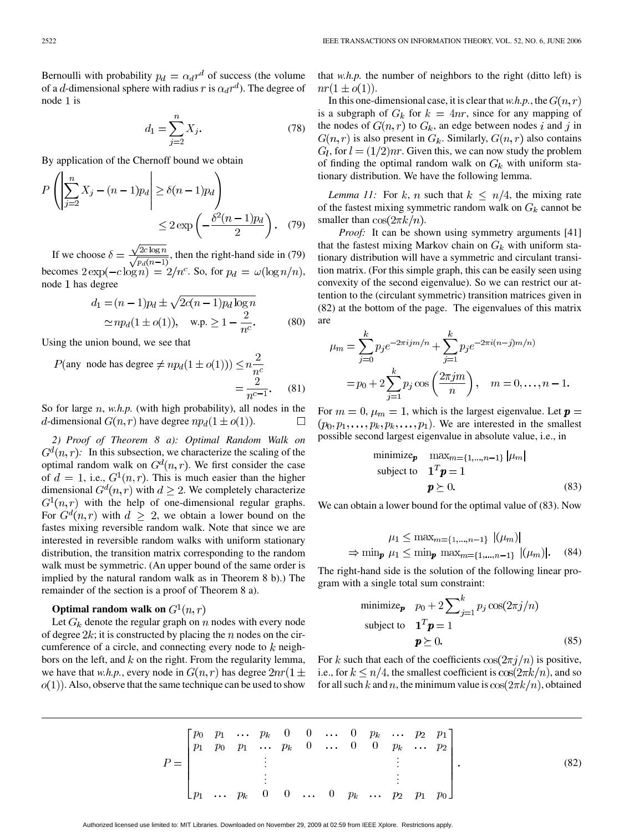Bernoulli with probability  $p_d = \alpha_d r^d$  of success (the volume of a d-dimensional sphere with radius r is  $\alpha_d r^d$ ). The degree of node 1 is

$$
d_1 = \sum_{j=2}^{n} X_j.
$$
 (78)

By application of the Chernoff bound we obtain

$$
P\left(\left|\sum_{j=2}^{n} X_j - (n-1)p_d\right| \ge \delta(n-1)p_d\right) \le 2\exp\left(-\frac{\delta^2(n-1)p_d}{2}\right). \quad (79)
$$

If we choose  $\delta = \frac{\sqrt{2c \log n}}{\sqrt{n}}$ , then the right-hand side in (79) becomes  $2 \exp(-c \log n) = 2/n^c$ . So, for  $p_d = \omega(\log n/n)$ , node 1 has degree

$$
d_1 = (n-1)p_d \pm \sqrt{2c(n-1)p_d \log n} \n \simeq np_d(1 \pm o(1)), \quad \text{w.p.} \ge 1 - \frac{2}{n^c}.
$$
\n(80)

Using the union bound, we see that

$$
P(\text{any node has degree} \neq np_d(1 \pm o(1))) \leq n \frac{2}{n^c}
$$

$$
= \frac{2}{n^{c-1}}.
$$
 (81)

So for large  $n$ , *w.h.p.* (with high probability), all nodes in the d-dimensional  $G(n,r)$  have degree  $np_d(1 \pm o(1))$ .  $\Box$ 

*2) Proof of Theorem 8 a): Optimal Random Walk on*  $G<sup>d</sup>(n,r)$ : In this subsection, we characterize the scaling of the optimal random walk on  $G^d(n, r)$ . We first consider the case of  $d = 1$ , i.e.,  $G^1(n,r)$ . This is much easier than the higher dimensional  $G^d(n, r)$  with  $d \geq 2$ . We completely characterize  $G^1(n,r)$  with the help of one-dimensional regular graphs. For  $G^d(n,r)$  with  $d \geq 2$ , we obtain a lower bound on the fastes mixing reversible random walk. Note that since we are interested in reversible random walks with uniform stationary distribution, the transition matrix corresponding to the random walk must be symmetric. (An upper bound of the same order is implied by the natural random walk as in Theorem 8 b).) The remainder of the section is a proof of Theorem 8 a).

## **Optimal random walk on**  $G^1(n,r)$

Let  $G_k$  denote the regular graph on n nodes with every node of degree  $2k$ ; it is constructed by placing the n nodes on the circumference of a circle, and connecting every node to  $k$  neighbors on the left, and  $k$  on the right. From the regularity lemma, we have that *w.h.p.*, every node in  $G(n,r)$  has degree  $2nr(1 \pm \frac{1}{n})$  $o(1)$ . Also, observe that the same technique can be used to show

that  $w.h.p$ . the number of neighbors to the right (ditto left) is  $nr(1 \pm o(1)).$ 

In this one-dimensional case, it is clear that  $w.h.p.,$  the  $G(n, r)$ is a subgraph of  $G_k$  for  $k = 4nr$ , since for any mapping of the nodes of  $G(n, r)$  to  $G_k$ , an edge between nodes i and j in  $G(n,r)$  is also present in  $G_k$ . Similarly,  $G(n,r)$  also contains  $G_l$ , for  $l = (1/2)nr$ . Given this, we can now study the problem of finding the optimal random walk on  $G_k$  with uniform stationary distribution. We have the following lemma.

*Lemma 11:* For k, n such that  $k \leq n/4$ , the mixing rate of the fastest mixing symmetric random walk on  $G_k$  cannot be smaller than  $\cos(2\pi k/n)$ .

*Proof:* It can be shown using symmetry arguments [\[41](#page-21-0)] that the fastest mixing Markov chain on  $G_k$  with uniform stationary distribution will have a symmetric and circulant transition matrix. (For this simple graph, this can be easily seen using convexity of the second eigenvalue). So we can restrict our attention to the (circulant symmetric) transition matrices given in (82) at the bottom of the page. The eigenvalues of this matrix are

$$
\mu_m = \sum_{j=0}^k p_j e^{-2\pi i j m/n} + \sum_{j=1}^k p_j e^{-2\pi i (n-j)m/n}
$$
  
=  $p_0 + 2 \sum_{j=1}^k p_j \cos\left(\frac{2\pi j m}{n}\right), \quad m = 0, \dots, n-1.$ 

For  $m = 0$ ,  $\mu_m = 1$ , which is the largest eigenvalue. Let  $\mathbf{p} =$  $(p_0, p_1, \ldots, p_k, p_k, \ldots, p_1)$ . We are interested in the smallest possible second largest eigenvalue in absolute value, i.e., in

minimize<sub>p</sub> 
$$
\max_{m=\{1,\dots,n-1\}} |\mu_m|
$$
  
subject to  $\mathbf{1}^T \mathbf{p} = 1$   
 $\mathbf{p} \succeq 0.$  (83)

We can obtain a lower bound for the optimal value of (83). Now

$$
\mu_1 \le \max_{m=\{1,\dots,n-1\}} |(\mu_m)|
$$
  
min<sub>p</sub>  $\mu_1 \le \min_{p} \max_{m=\{1,\dots,n-1\}} |(\mu_m)|.$  (84)

The right-hand side is the solution of the following linear program with a single total sum constraint:

$$
\text{minimize}_{\mathbf{p}} \quad p_0 + 2 \sum_{j=1}^{k} p_j \cos(2\pi j/n)
$$
\n
$$
\text{subject to} \quad \mathbf{1}^T \mathbf{p} = 1
$$
\n
$$
\mathbf{p} \succeq 0. \tag{85}
$$

For k such that each of the coefficients  $\cos(2\pi j/n)$  is positive, i.e., for  $k \leq n/4$ , the smallest coefficient is  $\cos(2\pi k/n)$ , and so for all such k and n, the minimum value is  $\cos(2\pi k/n)$ , obtained

$$
P = \begin{bmatrix} p_0 & p_1 & \cdots & p_k & 0 & 0 & \cdots & 0 & p_k & \cdots & p_2 & p_1 \\ p_1 & p_0 & p_1 & \cdots & p_k & 0 & \cdots & 0 & 0 & p_k & \cdots & p_2 \\ & & & \vdots & & & & \vdots & & \\ p_1 & \cdots & p_k & 0 & 0 & \cdots & 0 & p_k & \cdots & p_2 & p_1 & p_0 \end{bmatrix} .
$$
 (82)

 $\Rightarrow$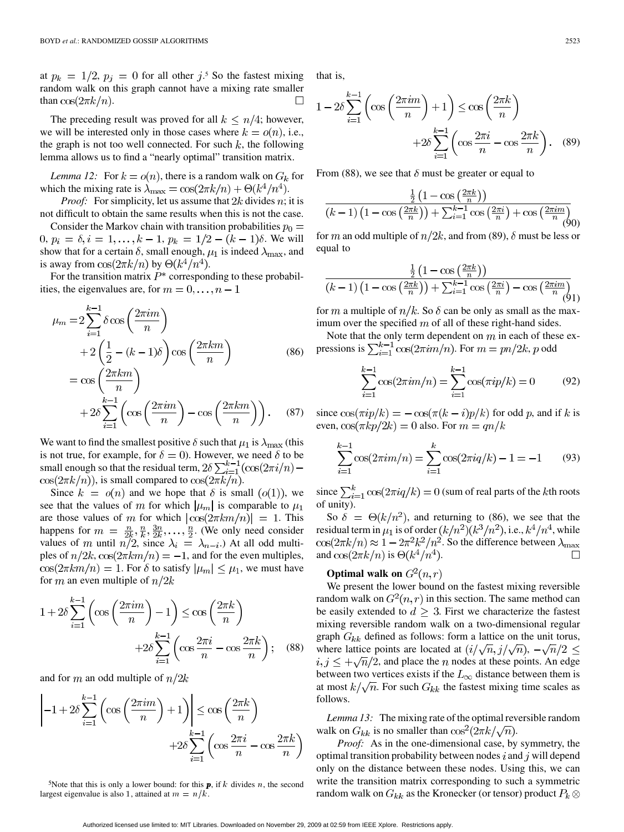at  $p_k = 1/2$ ,  $p_i = 0$  for all other j.<sup>5</sup> So the fastest mixing random walk on this graph cannot have a mixing rate smaller than  $\cos(2\pi k/n)$ .  $\Box$ 

The preceding result was proved for all  $k \leq n/4$ ; however, we will be interested only in those cases where  $k = o(n)$ , i.e., the graph is not too well connected. For such  $k$ , the following lemma allows us to find a "nearly optimal" transition matrix.

*Lemma 12:* For  $k = o(n)$ , there is a random walk on  $G_k$  for which the mixing rate is  $\lambda_{\text{max}} = \cos(2\pi k/n) + \Theta(k^4/n^4)$ .

*Proof:* For simplicity, let us assume that  $2k$  divides  $n$ ; it is not difficult to obtain the same results when this is not the case. Consider the Markov chain with transition probabilities  $p_0 =$ 

0,  $p_i = \delta, i = 1, \ldots, k - 1, p_k = 1/2 - (k - 1)\delta$ . We will show that for a certain  $\delta$ , small enough,  $\mu_1$  is indeed  $\lambda_{\text{max}}$ , and is away from  $\cos(2\pi k/n)$  by  $\Theta(k^4/n^4)$ .

For the transition matrix  $P^*$  corresponding to these probabilities, the eigenvalues are, for  $m = 0, \ldots, n - 1$ 

$$
\mu_m = 2 \sum_{i=1}^{k-1} \delta \cos\left(\frac{2\pi im}{n}\right)
$$
  
+2\left(\frac{1}{2} - (k-1)\delta\right) \cos\left(\frac{2\pi km}{n}\right) (86)  
... (2\pi km)

$$
= \cos\left(\frac{n}{n}\right)
$$
  
+ 
$$
2\delta \sum_{i=1}^{k-1} \left(\cos\left(\frac{2\pi im}{n}\right) - \cos\left(\frac{2\pi km}{n}\right)\right).
$$
 (87)

We want to find the smallest positive  $\delta$  such that  $\mu_1$  is  $\lambda_{\text{max}}$  (this is not true, for example, for  $\delta = 0$ ). However, we need  $\delta$  to be small enough so that the residual term,  $\cos(2\pi k/n)$ , is small compared to  $\cos(2\pi k/n)$ .

Since  $k = o(n)$  and we hope that  $\delta$  is small  $(o(1))$ , we see that the values of m for which  $|\mu_m|$  is comparable to  $\mu_1$ are those values of m for which  $|\cos(2\pi k m/n)| = 1$ . This happens for  $m = \frac{n}{2k}, \frac{n}{k}, \frac{3n}{2k}, \dots, \frac{n}{2}$ . (We only need consider values of m until  $n/2$ , since  $\lambda_i = \lambda_{n-i}$ .) At all odd multiples of  $n/2k$ ,  $\cos(2\pi k m/n) = -1$ , and for the even multiples,  $\cos(2\pi k m/n) = 1$ . For  $\delta$  to satisfy  $|\mu_m| \leq \mu_1$ , we must have for m an even multiple of  $n/2k$ 

$$
1 + 2\delta \sum_{i=1}^{k-1} \left( \cos \left( \frac{2\pi i m}{n} \right) - 1 \right) \le \cos \left( \frac{2\pi k}{n} \right)
$$

$$
+ 2\delta \sum_{i=1}^{k-1} \left( \cos \frac{2\pi i}{n} - \cos \frac{2\pi k}{n} \right); \quad (88)
$$

and for m an odd multiple of  $n/2k$ 

$$
\left| -1 + 2\delta \sum_{i=1}^{k-1} \left( \cos \left( \frac{2\pi i m}{n} \right) + 1 \right) \right| \le \cos \left( \frac{2\pi k}{n} \right) + 2\delta \sum_{i=1}^{k-1} \left( \cos \frac{2\pi i}{n} - \cos \frac{2\pi k}{n} \right)
$$

<sup>5</sup>Note that this is only a lower bound: for this  $p$ , if k divides n, the second largest eigenvalue is also 1, attained at  $m = n/k$ .

that is,

$$
1 - 2\delta \sum_{i=1}^{k-1} \left( \cos \left( \frac{2\pi i m}{n} \right) + 1 \right) \le \cos \left( \frac{2\pi k}{n} \right)
$$

$$
+ 2\delta \sum_{i=1}^{k-1} \left( \cos \frac{2\pi i}{n} - \cos \frac{2\pi k}{n} \right). \quad (89)
$$

From (88), we see that  $\delta$  must be greater or equal to

$$
\frac{\frac{1}{2}\left(1-\cos\left(\frac{2\pi k}{n}\right)\right)}{\left(k-1\right)\left(1-\cos\left(\frac{2\pi k}{n}\right)\right)+\sum_{i=1}^{k-1}\cos\left(\frac{2\pi i}{n}\right)+\cos\left(\frac{2\pi i m}{n}\right)}\tag{90}
$$

for m an odd multiple of  $n/2k$ , and from (89),  $\delta$  must be less or equal to

$$
\frac{\frac{1}{2}\left(1-\cos\left(\frac{2\pi k}{n}\right)\right)}{\left(k-1\right)\left(1-\cos\left(\frac{2\pi k}{n}\right)\right)+\sum_{i=1}^{k-1}\cos\left(\frac{2\pi i}{n}\right)-\cos\left(\frac{2\pi i m}{n}\right)}
$$
\n(91)

for m a multiple of  $n/k$ . So  $\delta$  can be only as small as the maximum over the specified  $m$  of all of these right-hand sides.

Note that the only term dependent on  $m$  in each of these expressions is  $\sum_{i=1}^{k-1} \cos(2\pi i m/n)$ . For  $m = pn/2k$ , p odd

$$
\sum_{i=1}^{k-1} \cos(2\pi i m/n) = \sum_{i=1}^{k-1} \cos(\pi i p/k) = 0
$$
 (92)

since  $\cos(\pi i p/k) = -\cos(\pi (k - i)p/k)$  for odd p, and if k is even,  $\cos(\pi k p/2k) = 0$  also. For  $m = qn/k$ 

$$
\sum_{i=1}^{k-1} \cos(2\pi i m/n) = \sum_{i=1}^{k} \cos(2\pi i q/k) - 1 = -1
$$
 (93)

since  $\sum_{i=1}^{k} \cos(2\pi i q/k) = 0$  (sum of real parts of the *k*th roots of unity).

So  $\delta = \Theta(k/n^2)$ , and returning to (86), we see that the residual term in  $\mu_1$  is of order  $(k/n^2)(k^3/n^2)$ , i.e.,  $k^4/n^4$ , while  $\cos(2\pi k/n) \approx 1 - 2\pi^2 k^2/n^2$ . So the difference between  $\lambda_{\text{max}}$ and  $\cos(2\pi k/n)$  is  $\Theta(k^4/n^4)$ . П

## **Optimal walk on**  $G^2(n,r)$

We present the lower bound on the fastest mixing reversible random walk on  $G^2(n, r)$  in this section. The same method can be easily extended to  $d \geq 3$ . First we characterize the fastest mixing reversible random walk on a two-dimensional regular graph  $G_{kk}$  defined as follows: form a lattice on the unit torus, where lattice points are located at  $(i/\sqrt{n}, j/\sqrt{n}), -\sqrt{n}/2 \le$  $i, j \leq +\sqrt{n}/2$ , and place the n nodes at these points. An edge between two vertices exists if the  $L_{\infty}$  distance between them is at most  $k/\sqrt{n}$ . For such  $G_{kk}$  the fastest mixing time scales as follows.

*Lemma 13:* The mixing rate of the optimal reversible random walk on  $G_{kk}$  is no smaller than  $\cos^2(2\pi k/\sqrt{n})$ .

*Proof:* As in the one-dimensional case, by symmetry, the optimal transition probability between nodes  $i$  and  $j$  will depend only on the distance between these nodes. Using this, we can write the transition matrix corresponding to such a symmetric random walk on  $G_{kk}$  as the Kronecker (or tensor) product  $P_k \otimes$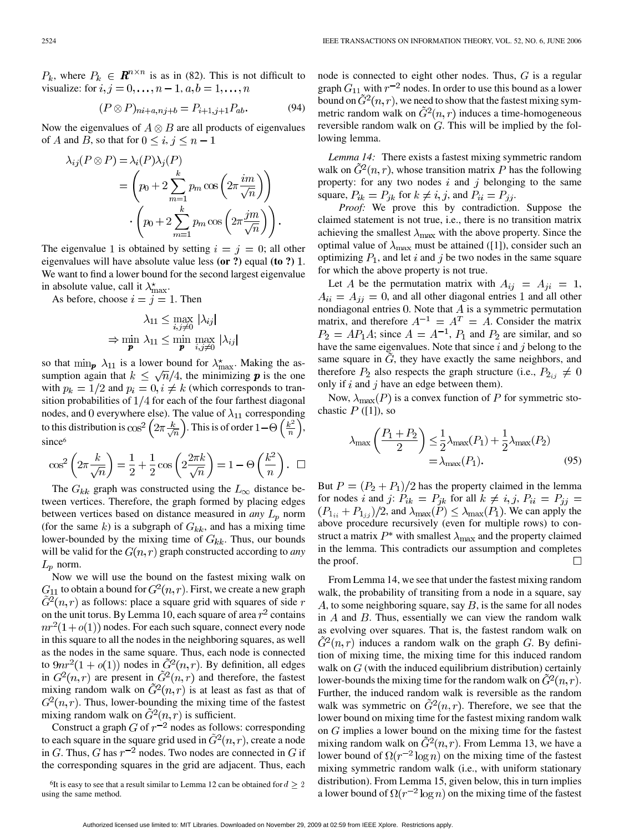$P_k$ , where  $P_k \in \mathbf{R}^{n \times n}$  is as in (82). This is not difficult to visualize: for  $i, j = 0, \ldots, n-1, a, b = 1, \ldots, n$ 

$$
(P \otimes P)_{ni+a,nj+b} = P_{i+1,j+1} P_{ab}.
$$
 (94)

Now the eigenvalues of  $A \otimes B$  are all products of eigenvalues of A and B, so that for  $0 \le i, j \le n-1$ 

$$
\lambda_{ij}(P \otimes P) = \lambda_i(P)\lambda_j(P)
$$
  
=  $\left(p_0 + 2\sum_{m=1}^k p_m \cos\left(2\pi \frac{im}{\sqrt{n}}\right)\right)$   

$$
\cdot \left(p_0 + 2\sum_{m=1}^k p_m \cos\left(2\pi \frac{jm}{\sqrt{n}}\right)\right).
$$

The eigenvalue 1 is obtained by setting  $i = j = 0$ ; all other eigenvalues will have absolute value less **(or ?)** equal **(to ?)** . We want to find a lower bound for the second largest eigenvalue in absolute value, call it  $\lambda_{\max}^*$ .

As before, choose  $i = j = 1$ . Then

$$
\lambda_{11} \leq \max_{i,j\neq 0} |\lambda_{ij}|
$$
  
\n
$$
\Rightarrow \min_{\mathbf{p}} \lambda_{11} \leq \min_{\mathbf{p}} \max_{i,j\neq 0} |\lambda_{ij}|
$$

so that  $\min_{\mathbf{p}} \lambda_{11}$  is a lower bound for  $\lambda_{\max}^*$ . Making the assumption again that  $k \leq \sqrt{n}/4$ , the minimizing **p** is the one with  $p_k = 1/2$  and  $p_i = 0, i \neq k$  (which corresponds to transition probabilities of  $1/4$  for each of the four farthest diagonal nodes, and 0 everywhere else). The value of  $\lambda_{11}$  corresponding to this distribution is  $\cos^2\left(2\pi \frac{k}{\sqrt{n}}\right)$ . This is of order  $1-\Theta\left(\frac{k^2}{n}\right)$ , since<sup>6</sup>

$$
\cos^2\left(2\pi \frac{k}{\sqrt{n}}\right) = \frac{1}{2} + \frac{1}{2}\cos\left(2\frac{2\pi k}{\sqrt{n}}\right) = 1 - \Theta\left(\frac{k^2}{n}\right). \quad \Box
$$

The  $G_{kk}$  graph was constructed using the  $L_{\infty}$  distance between vertices. Therefore, the graph formed by placing edges between vertices based on distance measured in *any*  $L_p$  norm (for the same k) is a subgraph of  $G_{kk}$ , and has a mixing time lower-bounded by the mixing time of  $G_{kk}$ . Thus, our bounds will be valid for the  $G(n, r)$  graph constructed according to *any*  $L_p$  norm.

Now we will use the bound on the fastest mixing walk on  $G_{11}$  to obtain a bound for  $G^2(n, r)$ . First, we create a new graph  $G<sup>2</sup>(n,r)$  as follows: place a square grid with squares of side r on the unit torus. By Lemma 10, each square of area  $r^2$  contains  $nr^2(1+o(1))$  nodes. For each such square, connect every node in this square to all the nodes in the neighboring squares, as well as the nodes in the same square. Thus, each node is connected to  $9nr^2(1 + o(1))$  nodes in  $\tilde{G}^2(n,r)$ . By definition, all edges in  $G^2(n,r)$  are present in  $\tilde{G}^2(n,r)$  and therefore, the fastest mixing random walk on  $\tilde{G}^2(n,r)$  is at least as fast as that of  $G^2(n, r)$ . Thus, lower-bounding the mixing time of the fastest mixing random walk on  $\tilde{G}^2(n,r)$  is sufficient.

Construct a graph G of  $r^{-2}$  nodes as follows: corresponding to each square in the square grid used in  $\tilde{G}^2(n,r)$ , create a node in G. Thus, G has  $r^{-2}$  nodes. Two nodes are connected in G if the corresponding squares in the grid are adjacent. Thus, each

node is connected to eight other nodes. Thus,  $G$  is a regular graph  $G_{11}$  with  $r^{-2}$  nodes. In order to use this bound as a lower bound on  $\tilde{G}^2(n,r)$ , we need to show that the fastest mixing symmetric random walk on  $G^2(n, r)$  induces a time-homogeneous reversible random walk on  $G$ . This will be implied by the following lemma.

*Lemma 14:* There exists a fastest mixing symmetric random walk on  $G^2(n, r)$ , whose transition matrix P has the following property: for any two nodes  $i$  and  $j$  belonging to the same square,  $P_{ik} = P_{jk}$  for  $k \neq i, j$ , and  $P_{ii} = P_{jj}$ .

*Proof:* We prove this by contradiction. Suppose the claimed statement is not true, i.e., there is no transition matrix achieving the smallest  $\lambda_{\text{max}}$  with the above property. Since the optimal value of  $\lambda_{\text{max}}$  must be attained ([[1\]](#page-21-0)), consider such an optimizing  $P_1$ , and let i and j be two nodes in the same square for which the above property is not true.

Let A be the permutation matrix with  $A_{ij} = A_{ji} = 1$ ,  $A_{ii} = A_{jj} = 0$ , and all other diagonal entries 1 and all other nondiagonal entries  $0$ . Note that  $A$  is a symmetric permutation matrix, and therefore  $A^{-1} = A^T = A$ . Consider the matrix  $P_2 = AP_1A$ ; since  $A = A^{-1}$ ,  $P_1$  and  $P_2$  are similar, and so have the same eigenvalues. Note that since  $i$  and  $j$  belong to the same square in  $\tilde{G}$ , they have exactly the same neighbors, and therefore  $P_2$  also respects the graph structure (i.e.,  $P_{2ij} \neq 0$ only if  $i$  and  $j$  have an edge between them).

Now,  $\lambda_{\text{max}}(P)$  is a convex function of P for symmetric stochastic  $P$  ([[1\]](#page-21-0)), so

$$
\lambda_{\max}\left(\frac{P_1 + P_2}{2}\right) \le \frac{1}{2}\lambda_{\max}(P_1) + \frac{1}{2}\lambda_{\max}(P_2)
$$
  
=  $\lambda_{\max}(P_1)$ . (95)

But  $P = (P_2 + P_1)/2$  has the property claimed in the lemma for nodes i and j:  $P_{ik} = P_{jk}$  for all  $k \neq i, j, P_{ii} = P_{jj} =$  $(P_{1_{ij}} + P_{1_{ij}})/2$ , and  $\lambda_{\max}(P) \leq \lambda_{\max}(P_1)$ . We can apply the above procedure recursively (even for multiple rows) to construct a matrix  $P^*$  with smallest  $\lambda_{\text{max}}$  and the property claimed in the lemma. This contradicts our assumption and completes the proof.  $\Box$ 

From Lemma 14, we see that under the fastest mixing random walk, the probability of transiting from a node in a square, say A, to some neighboring square, say  $B$ , is the same for all nodes in  $A$  and  $B$ . Thus, essentially we can view the random walk as evolving over squares. That is, the fastest random walk on  $G^2(n,r)$  induces a random walk on the graph G. By definition of mixing time, the mixing time for this induced random walk on  $G$  (with the induced equilibrium distribution) certainly lower-bounds the mixing time for the random walk on  $G^2(n, r)$ . Further, the induced random walk is reversible as the random walk was symmetric on  $\tilde{G}^2(n,r)$ . Therefore, we see that the lower bound on mixing time for the fastest mixing random walk on  $G$  implies a lower bound on the mixing time for the fastest mixing random walk on  $\tilde{G}^2(n,r)$ . From Lemma 13, we have a lower bound of  $\Omega(r^{-2} \log n)$  on the mixing time of the fastest mixing symmetric random walk (i.e., with uniform stationary distribution). From Lemma 15, given below, this in turn implies a lower bound of  $\Omega(r^{-2} \log n)$  on the mixing time of the fastest

<sup>&</sup>lt;sup>6</sup>It is easy to see that a result similar to Lemma 12 can be obtained for  $d \ge 2$ using the same method.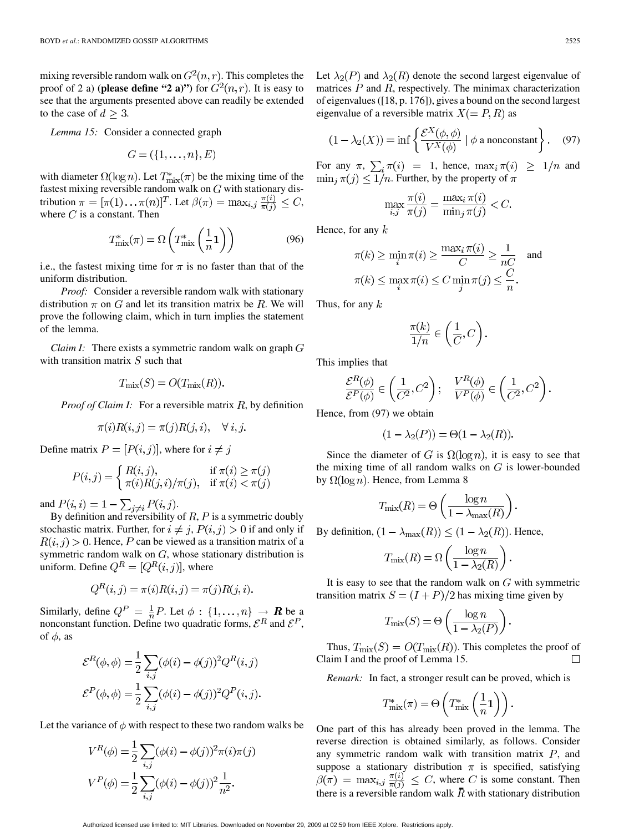mixing reversible random walk on  $G^2(n, r)$ . This completes the proof of 2 a) **(please define "2 a)"**) for  $G^2(n,r)$ . It is easy to see that the arguments presented above can readily be extended to the case of  $d \geq 3$ .

*Lemma 15:* Consider a connected graph

$$
G = (\{1, \ldots, n\}, E)
$$

with diameter  $\Omega(\log n)$ . Let  $T_{\text{mix}}^*(\pi)$  be the mixing time of the fastest mixing reversible random walk on  $G$  with stationary distribution  $\pi = [\pi(1) \dots \pi(n)]^T$ . Let  $\beta(\pi) = \max_{i,j} \frac{\pi(i)}{\pi(j)} \leq C$ , where  $C$  is a constant. Then

$$
T_{\text{mix}}^*(\pi) = \Omega\left(T_{\text{mix}}^*\left(\frac{1}{n}\mathbf{1}\right)\right) \tag{96}
$$

i.e., the fastest mixing time for  $\pi$  is no faster than that of the uniform distribution.

*Proof:* Consider a reversible random walk with stationary distribution  $\pi$  on G and let its transition matrix be R. We will prove the following claim, which in turn implies the statement of the lemma.

*Claim I:* There exists a symmetric random walk on graph G with transition matrix  $S$  such that

$$
T_{\text{mix}}(S) = O(T_{\text{mix}}(R)).
$$

*Proof of Claim I:* For a reversible matrix  $R$ , by definition

$$
\pi(i)R(i,j) = \pi(j)R(j,i), \quad \forall i, j.
$$

Define matrix  $P = [P(i, j)]$ , where for  $i \neq j$ 

$$
P(i,j) = \begin{cases} R(i,j), & \text{if } \pi(i) \ge \pi(j) \\ \pi(i)R(j,i)/\pi(j), & \text{if } \pi(i) < \pi(j) \end{cases}
$$

and  $P(i, i) = 1 - \sum_{j \neq i} P(i, j)$ .

By definition and reversibility of  $R$ ,  $P$  is a symmetric doubly stochastic matrix. Further, for  $i \neq j$ ,  $P(i, j) > 0$  if and only if  $R(i, j) > 0$ . Hence, P can be viewed as a transition matrix of a symmetric random walk on  $G$ , whose stationary distribution is uniform. Define  $Q^R = [Q^R(i, j)]$ , where

$$
Q^{R}(i, j) = \pi(i)R(i, j) = \pi(j)R(j, i).
$$

Similarly, define  $Q^P = \frac{1}{n}P$ . Let  $\phi : \{1, \ldots, n\} \longrightarrow \mathbb{R}$  be a nonconstant function. Define two quadratic forms,  $\mathcal{E}^R$  and  $\mathcal{E}^P$ , of  $\phi$ , as

$$
\mathcal{E}^{R}(\phi, \phi) = \frac{1}{2} \sum_{i,j} (\phi(i) - \phi(j))^2 Q^{R}(i, j)
$$

$$
\mathcal{E}^{P}(\phi, \phi) = \frac{1}{2} \sum_{i,j} (\phi(i) - \phi(j))^2 Q^{P}(i, j).
$$

Let the variance of  $\phi$  with respect to these two random walks be

$$
V^R(\phi) = \frac{1}{2} \sum_{i,j} (\phi(i) - \phi(j))^2 \pi(i) \pi(j)
$$
  

$$
V^P(\phi) = \frac{1}{2} \sum_{i,j} (\phi(i) - \phi(j))^2 \frac{1}{n^2}.
$$

Let  $\lambda_2(P)$  and  $\lambda_2(R)$  denote the second largest eigenvalue of matrices  $P$  and  $R$ , respectively. The minimax characterization of eigenvalues ([\[18,](#page-21-0) p. 176]), gives a bound on the second largest eigenvalue of a reversible matrix  $X (= P, R)$  as

$$
(1 - \lambda_2(X)) = \inf \left\{ \frac{\mathcal{E}^X(\phi, \phi)}{V^X(\phi)} \mid \phi \text{ a nonconstant} \right\}.
$$
 (97)

For any  $\pi$ ,  $\sum_i \pi(i) = 1$ , hence,  $\max_i \pi(i) \geq 1/n$  and  $\min_i \pi(j) \leq 1/n$ . Further, by the property of  $\pi$ 

$$
\max_{i,j} \frac{\pi(i)}{\pi(j)} = \frac{\max_i \pi(i)}{\min_j \pi(j)} < C.
$$

Hence, for any  $k$ 

$$
\pi(k) \ge \min_i \pi(i) \ge \frac{\max_i \pi(i)}{C} \ge \frac{1}{nC} \text{ and}
$$
  

$$
\pi(k) \le \max_i \pi(i) \le C \min_j \pi(j) \le \frac{C}{n}.
$$

Thus, for any  $k$ 

$$
\frac{\pi(k)}{1/n} \in \left(\frac{1}{C}, C\right).
$$

This implies that

$$
\frac{\mathcal{E}^R(\phi)}{\mathcal{E}^P(\phi)} \in \left(\frac{1}{C^2}, C^2\right); \quad \frac{V^R(\phi)}{V^P(\phi)} \in \left(\frac{1}{C^2}, C^2\right).
$$

Hence, from (97) we obtain

$$
(1 - \lambda_2(P)) = \Theta(1 - \lambda_2(R)).
$$

Since the diameter of G is  $\Omega(\log n)$ , it is easy to see that the mixing time of all random walks on  $G$  is lower-bounded by  $\Omega(\log n)$ . Hence, from Lemma 8

$$
T_{\text{mix}}(R) = \Theta\left(\frac{\log n}{1 - \lambda_{\text{max}}(R)}\right)
$$

By definition,  $(1 - \lambda_{\text{max}}(R)) \le (1 - \lambda_2(R))$ . Hence,

$$
T_{\text{mix}}(R) = \Omega\left(\frac{\log n}{1 - \lambda_2(R)}\right).
$$

It is easy to see that the random walk on  $G$  with symmetric transition matrix  $S = (I + P)/2$  has mixing time given by

$$
T_{\text{mix}}(S) = \Theta\left(\frac{\log n}{1 - \lambda_2(P)}\right).
$$

Thus,  $T_{\text{mix}}(S) = O(T_{\text{mix}}(R))$ . This completes the proof of Claim I and the proof of Lemma 15.  $\Box$ 

*Remark:* In fact, a stronger result can be proved, which is

$$
T_{\text{mix}}^*(\pi) = \Theta\left(T_{\text{mix}}^*\left(\frac{1}{n}\mathbf{1}\right)\right).
$$

One part of this has already been proved in the lemma. The reverse direction is obtained similarly, as follows. Consider any symmetric random walk with transition matrix  $P$ , and suppose a stationary distribution  $\pi$  is specified, satisfying , where  $C$  is some constant. Then there is a reversible random walk  $\bar{R}$  with stationary distribution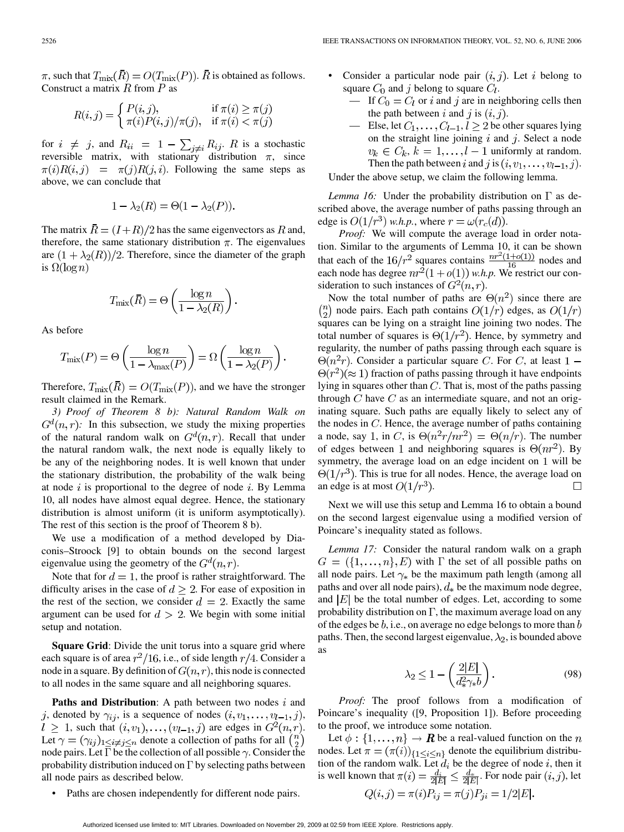$\pi$ , such that  $T_{\text{mix}}(\bar{R}) = O(T_{\text{mix}}(P)).$   $\bar{R}$  is obtained as follows. Construct a matrix  $R$  from  $P$  as

$$
R(i,j) = \begin{cases} P(i,j), & \text{if } \pi(i) \ge \pi(j) \\ \pi(i)P(i,j)/\pi(j), & \text{if } \pi(i) < \pi(j) \end{cases}
$$

for  $i \neq j$ , and  $R_{ii} = 1 - \sum_{j \neq i} R_{ij}$ . R is a stochastic reversible matrix, with stationary distribution  $\pi$ , since  $\pi(i)R(i,j) = \pi(j)R(j,i)$ . Following the same steps as above, we can conclude that

$$
1 - \lambda_2(R) = \Theta(1 - \lambda_2(P)).
$$

The matrix  $\bar{R} = (I + R)/2$  has the same eigenvectors as R and, therefore, the same stationary distribution  $\pi$ . The eigenvalues are  $(1 + \lambda_2(R))/2$ . Therefore, since the diameter of the graph is  $\Omega(\log n)$ 

$$
T_{\text{mix}}(\bar{R}) = \Theta\left(\frac{\log n}{1 - \lambda_2(R)}\right).
$$

As before

$$
T_{\text{mix}}(P) = \Theta\left(\frac{\log n}{1 - \lambda_{\text{max}}(P)}\right) = \Omega\left(\frac{\log n}{1 - \lambda_2(P)}\right)
$$

Therefore,  $T_{\text{mix}}(\bar{R}) = O(T_{\text{mix}}(P))$ , and we have the stronger result claimed in the Remark.

*3) Proof of Theorem 8 b): Natural Random Walk on*  $G<sup>d</sup>(n,r)$ : In this subsection, we study the mixing properties of the natural random walk on  $G^d(n,r)$ . Recall that under the natural random walk, the next node is equally likely to be any of the neighboring nodes. It is well known that under the stationary distribution, the probability of the walk being at node  $i$  is proportional to the degree of node  $i$ . By Lemma 10, all nodes have almost equal degree. Hence, the stationary distribution is almost uniform (it is uniform asymptotically). The rest of this section is the proof of Theorem 8 b).

We use a modification of a method developed by Diaconis–Stroock [[9\]](#page-21-0) to obtain bounds on the second largest eigenvalue using the geometry of the  $G^d(n,r)$ .

Note that for  $d = 1$ , the proof is rather straightforward. The difficulty arises in the case of  $d \geq 2$ . For ease of exposition in the rest of the section, we consider  $d = 2$ . Exactly the same argument can be used for  $d > 2$ . We begin with some initial setup and notation.

**Square Grid**: Divide the unit torus into a square grid where each square is of area  $r^2/16$ , i.e., of side length  $r/4$ . Consider a node in a square. By definition of  $G(n, r)$ , this node is connected to all nodes in the same square and all neighboring squares.

**Paths and Distribution**: A path between two nodes  $i$  and j, denoted by  $\gamma_{ij}$ , is a sequence of nodes  $(i, v_1, \ldots, v_{l-1}, j)$ ,  $l \geq 1$ , such that  $(i, v_1), \ldots, (v_{l-1}, j)$  are edges in  $G^2(n, r)$ . Let  $\gamma = (\gamma_{ij})_{1 \leq i \neq j \leq n}$  denote a collection of paths for all  $\binom{n}{2}$ node pairs. Let  $\Gamma$  be the collection of all possible  $\gamma$ . Consider the probability distribution induced on  $\Gamma$  by selecting paths between all node pairs as described below.

• Paths are chosen independently for different node pairs.

- Consider a particular node pair  $(i, j)$ . Let i belong to square  $C_0$  and j belong to square  $C_l$ .
	- If  $C_0 = C_l$  or i and j are in neighboring cells then the path between i and j is  $(i, j)$ .
	- Else, let  $C_1, \ldots, C_{l-1}, l \geq 2$  be other squares lying on the straight line joining  $i$  and  $j$ . Select a node  $v_k \in C_k$ ,  $k = 1, \ldots, l-1$  uniformly at random. Then the path between i and j is  $(i, v_1, \ldots, v_{l-1}, j)$ .

Under the above setup, we claim the following lemma.

*Lemma 16:* Under the probability distribution on  $\Gamma$  as described above, the average number of paths passing through an edge is  $O(1/r^3)$  w.h.p., where  $r = \omega(r_c(d))$ .

*Proof:* We will compute the average load in order notation. Similar to the arguments of Lemma 10, it can be shown that each of the  $16/r^2$  squares contains  $\frac{nr^2(1+o(1))}{16}$  nodes and each node has degree  $nr^2(1+o(1))$  w.h.p. We restrict our consideration to such instances of  $G^2(n,r)$ .

Now the total number of paths are  $\Theta(n^2)$  since there are  $\binom{n}{2}$  node pairs. Each path contains  $O(1/r)$  edges, as  $O(1/r)$ squares can be lying on a straight line joining two nodes. The total number of squares is  $\Theta(1/r^2)$ . Hence, by symmetry and regularity, the number of paths passing through each square is  $\Theta(n^2r)$ . Consider a particular square C. For C, at least 1 –  $\Theta(r^2)(\approx 1)$  fraction of paths passing through it have endpoints lying in squares other than  $C$ . That is, most of the paths passing through  $C$  have  $C$  as an intermediate square, and not an originating square. Such paths are equally likely to select any of the nodes in  $C$ . Hence, the average number of paths containing a node, say 1, in C, is  $\Theta(n^2r/nr^2) = \Theta(n/r)$ . The number of edges between 1 and neighboring squares is  $\Theta(nr^2)$ . By symmetry, the average load on an edge incident on 1 will be  $\Theta(1/r^3)$ . This is true for all nodes. Hence, the average load on an edge is at most  $O(1/r^3)$ . П

Next we will use this setup and Lemma 16 to obtain a bound on the second largest eigenvalue using a modified version of Poincare's inequality stated as follows.

*Lemma 17:* Consider the natural random walk on a graph  $G = (\{1, \ldots, n\}, E)$  with  $\Gamma$  the set of all possible paths on all node pairs. Let  $\gamma_*$  be the maximum path length (among all paths and over all node pairs),  $d_*$  be the maximum node degree, and  $|E|$  be the total number of edges. Let, according to some probability distribution on  $\Gamma$ , the maximum average load on any of the edges be  $b$ , i.e., on average no edge belongs to more than  $b$ paths. Then, the second largest eigenvalue,  $\lambda_2$ , is bounded above as

$$
\lambda_2 \le 1 - \left(\frac{2|E|}{d_*^2 \gamma_* b}\right). \tag{98}
$$

*Proof:* The proof follows from a modification of Poincare's inequality ([\[9](#page-21-0), Proposition 1]). Before proceeding to the proof, we introduce some notation.

Let  $\phi : \{1, \ldots, n\} \to \mathbb{R}$  be a real-valued function on the n nodes. Let  $\pi = (\pi(i))_{\{1 \leq i \leq n\}}$  denote the equilibrium distribution of the random walk. Let  $d_i$  be the degree of node  $i$ , then it is well known that  $\pi(i) = \frac{d_i}{2|E|} \leq \frac{d_*}{2|E|}$ . For node pair  $(i, j)$ , let

$$
Q(i,j) = \pi(i) P_{ij} = \pi(j) P_{ji} = 1/2|E|.
$$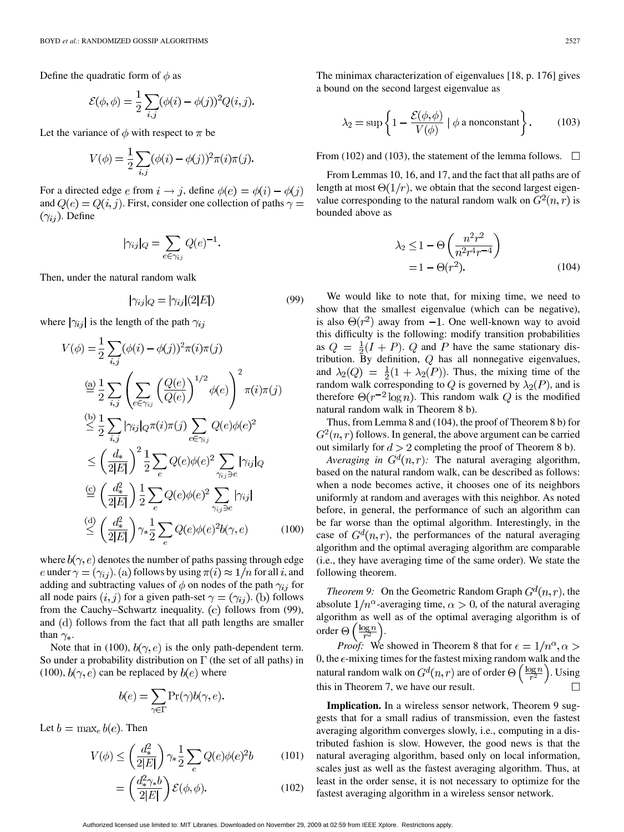Define the quadratic form of  $\phi$  as

$$
\mathcal{E}(\phi,\phi) = \frac{1}{2} \sum_{i,j} (\phi(i) - \phi(j))^2 Q(i,j).
$$

Let the variance of  $\phi$  with respect to  $\pi$  be

$$
V(\phi) = \frac{1}{2} \sum_{i,j} (\phi(i) - \phi(j))^2 \pi(i) \pi(j).
$$

For a directed edge e from  $i \rightarrow j$ , define  $\phi(e) = \phi(i) - \phi(j)$ and  $Q(e) = Q(i, j)$ . First, consider one collection of paths  $\gamma =$  $(\gamma_{ij})$ . Define

$$
|\gamma_{ij}|_Q = \sum_{e \in \gamma_{ij}} Q(e)^{-1}.
$$

Then, under the natural random walk

$$
|\gamma_{ij}|_Q = |\gamma_{ij}|(2|E|) \tag{99}
$$

where  $|\gamma_{ij}|$  is the length of the path  $\gamma_{ij}$ 

$$
V(\phi) = \frac{1}{2} \sum_{i,j} (\phi(i) - \phi(j))^2 \pi(i) \pi(j)
$$
  
\n
$$
\stackrel{(a)}{=} \frac{1}{2} \sum_{i,j} \left( \sum_{e \in \gamma_{ij}} \left( \frac{Q(e)}{Q(e)} \right)^{1/2} \phi(e) \right)^2 \pi(i) \pi(j)
$$
  
\n
$$
\stackrel{(b)}{\leq} \frac{1}{2} \sum_{i,j} |\gamma_{ij}| \mathbf{Q} \pi(i) \pi(j) \sum_{e \in \gamma_{ij}} Q(e) \phi(e)^2
$$
  
\n
$$
\leq \left( \frac{d_*}{2|E|} \right)^2 \frac{1}{2} \sum_{e} Q(e) \phi(e)^2 \sum_{\gamma_{ij} \ni e} |\gamma_{ij}|
$$
  
\n
$$
\stackrel{(c)}{=} \left( \frac{d_*^2}{2|E|} \right) \frac{1}{2} \sum_{e} Q(e) \phi(e)^2 \sum_{\gamma_{ij} \ni e} |\gamma_{ij}|
$$
  
\n
$$
\stackrel{(d)}{\leq} \left( \frac{d_*^2}{2|E|} \right) \gamma_* \frac{1}{2} \sum_{e} Q(e) \phi(e)^2 b(\gamma, e) \qquad (100)
$$

where  $b(\gamma, e)$  denotes the number of paths passing through edge e under  $\gamma = (\gamma_{ij})$ . (a) follows by using  $\pi(i) \approx 1/n$  for all i, and adding and subtracting values of  $\phi$  on nodes of the path  $\gamma_{ij}$  for all node pairs  $(i, j)$  for a given path-set  $\gamma = (\gamma_{ij})$ . (b) follows from the Cauchy–Schwartz inequality.  $(c)$  follows from (99), and  $(d)$  follows from the fact that all path lengths are smaller than  $\gamma_*$ .

Note that in (100),  $b(\gamma, e)$  is the only path-dependent term. So under a probability distribution on  $\Gamma$  (the set of all paths) in (100),  $b(\gamma, e)$  can be replaced by  $b(e)$  where

$$
b(e) = \sum_{\gamma \in \Gamma} \Pr(\gamma) b(\gamma, e)
$$

Let  $b = \max_e b(e)$ . Then

$$
V(\phi) \le \left(\frac{d_*^2}{2|E|}\right) \gamma_* \frac{1}{2} \sum_e Q(e)\phi(e)^2 b \qquad (101)
$$

$$
= \left(\frac{d_*^2 \gamma_* b}{2|E|}\right) \mathcal{E}(\phi, \phi). \qquad (102)
$$

The minimax characterization of eigenvalues [[18,](#page-21-0) p. 176] gives a bound on the second largest eigenvalue as

$$
\lambda_2 = \sup \left\{ 1 - \frac{\mathcal{E}(\phi, \phi)}{V(\phi)} \mid \phi \text{ a nonconstant} \right\}. \tag{103}
$$

From (102) and (103), the statement of the lemma follows.  $\Box$ 

From Lemmas 10, 16, and 17, and the fact that all paths are of length at most  $\Theta(1/r)$ , we obtain that the second largest eigenvalue corresponding to the natural random walk on  $G^2(n, r)$  is bounded above as

$$
\lambda_2 \le 1 - \Theta\left(\frac{n^2 r^2}{n^2 r^4 r^{-4}}\right)
$$
  
= 1 - \Theta(r^2). (104)

We would like to note that, for mixing time, we need to show that the smallest eigenvalue (which can be negative), is also  $\Theta(r^2)$  away from  $-1$ . One well-known way to avoid this difficulty is the following: modify transition probabilities as  $Q = \frac{1}{2}(I + P)$ . Q and P have the same stationary distribution. By definition,  $Q$  has all nonnegative eigenvalues, and  $\lambda_2(Q) = \frac{1}{2}(1 + \lambda_2(P))$ . Thus, the mixing time of the random walk corresponding to Q is governed by  $\lambda_2(P)$ , and is therefore  $\Theta(r^{-2} \log n)$ . This random walk Q is the modified natural random walk in Theorem 8 b).

Thus, from Lemma 8 and (104), the proof of Theorem 8 b) for  $G^2(n,r)$  follows. In general, the above argument can be carried out similarly for  $d > 2$  completing the proof of Theorem 8 b).

*Averaging in*  $G^d(n, r)$ : The natural averaging algorithm, based on the natural random walk, can be described as follows: when a node becomes active, it chooses one of its neighbors uniformly at random and averages with this neighbor. As noted before, in general, the performance of such an algorithm can be far worse than the optimal algorithm. Interestingly, in the case of  $G^d(n,r)$ , the performances of the natural averaging algorithm and the optimal averaging algorithm are comparable (i.e., they have averaging time of the same order). We state the following theorem.

*Theorem 9:* On the Geometric Random Graph  $G^d(n, r)$ , the absolute  $1/n^{\alpha}$ -averaging time,  $\alpha > 0$ , of the natural averaging algorithm as well as of the optimal averaging algorithm is of order  $\Theta\left(\frac{\log n}{r^2}\right)$ .

*Proof:* We showed in Theorem 8 that for  $\epsilon = 1/n^{\alpha}, \alpha >$ 0, the  $\epsilon$ -mixing times for the fastest mixing random walk and the natural random walk on  $G^d(n,r)$  are of order  $\Theta\left(\frac{\log n}{r^2}\right)$ . Using this in Theorem 7, we have our result.  $\Box$ 

**Implication.** In a wireless sensor network, Theorem 9 suggests that for a small radius of transmission, even the fastest averaging algorithm converges slowly, i.e., computing in a distributed fashion is slow. However, the good news is that the natural averaging algorithm, based only on local information, scales just as well as the fastest averaging algorithm. Thus, at least in the order sense, it is not necessary to optimize for the fastest averaging algorithm in a wireless sensor network.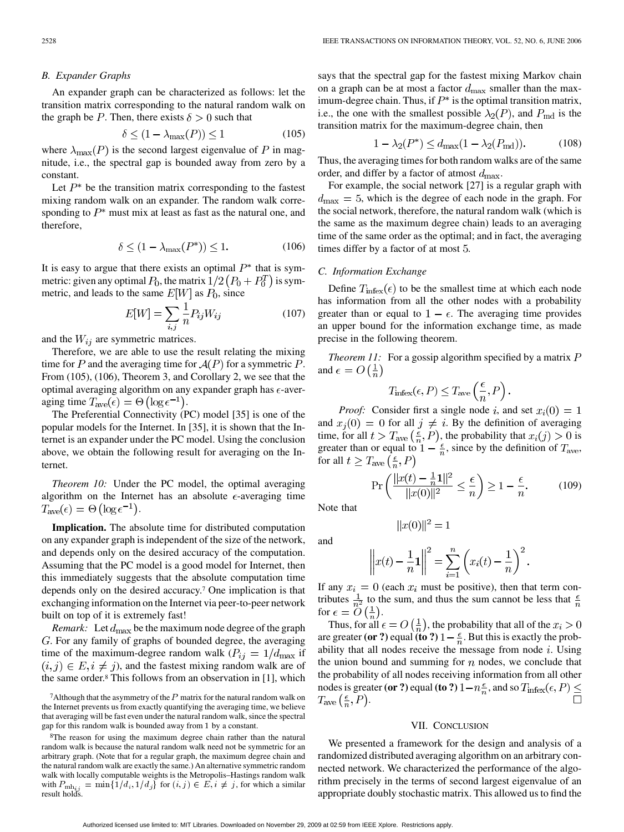## *B. Expander Graphs*

An expander graph can be characterized as follows: let the transition matrix corresponding to the natural random walk on the graph be P. Then, there exists  $\delta > 0$  such that

$$
\delta \le (1 - \lambda_{\max}(P)) \le 1 \tag{105}
$$

where  $\lambda_{\text{max}}(P)$  is the second largest eigenvalue of P in magnitude, i.e., the spectral gap is bounded away from zero by a constant.

Let  $P^*$  be the transition matrix corresponding to the fastest mixing random walk on an expander. The random walk corresponding to  $P^*$  must mix at least as fast as the natural one, and therefore,

$$
\delta \le (1 - \lambda_{\max}(P^*)) \le 1. \tag{106}
$$

It is easy to argue that there exists an optimal  $P^*$  that is symmetric: given any optimal  $P_0$ , the matrix  $1/2 (P_0 + P_0^T)$  is symmetric, and leads to the same  $E[W]$  as  $P_0$ , since

$$
E[W] = \sum_{i,j} \frac{1}{n} P_{ij} W_{ij}
$$
 (107)

and the  $W_{ij}$  are symmetric matrices.

Therefore, we are able to use the result relating the mixing time for P and the averaging time for  $A(P)$  for a symmetric P. From (105), (106), Theorem 3, and Corollary 2, we see that the optimal averaging algorithm on any expander graph has  $\epsilon$ -averaging time  $T_{\text{ave}}(\epsilon) = \Theta(\log \epsilon^{-1}).$ 

The Preferential Connectivity (PC) model [\[35](#page-21-0)] is one of the popular models for the Internet. In [[35\]](#page-21-0), it is shown that the Internet is an expander under the PC model. Using the conclusion above, we obtain the following result for averaging on the Internet.

*Theorem 10:* Under the PC model, the optimal averaging algorithm on the Internet has an absolute  $\epsilon$ -averaging time  $T_{\rm ave}(\epsilon)=\Theta(\log\epsilon^{-1}).$ 

**Implication.** The absolute time for distributed computation on any expander graph is independent of the size of the network, and depends only on the desired accuracy of the computation. Assuming that the PC model is a good model for Internet, then this immediately suggests that the absolute computation time depends only on the desired accuracy.7 One implication is that exchanging information on the Internet via peer-to-peer network built on top of it is extremely fast!

*Remark:* Let  $d_{\text{max}}$  be the maximum node degree of the graph . For any family of graphs of bounded degree, the averaging time of the maximum-degree random walk ( $P_{ij} = 1/d_{\text{max}}$  if  $(i, j) \in E, i \neq j$ , and the fastest mixing random walk are of the same order.8 This follows from an observation in [\[1](#page-21-0)], which

says that the spectral gap for the fastest mixing Markov chain on a graph can be at most a factor  $d_{\text{max}}$  smaller than the maximum-degree chain. Thus, if  $P^*$  is the optimal transition matrix, i.e., the one with the smallest possible  $\lambda_2(P)$ , and  $P_{\text{md}}$  is the transition matrix for the maximum-degree chain, then

$$
1 - \lambda_2(P^*) \le d_{\text{max}}(1 - \lambda_2(P_{\text{md}})). \tag{108}
$$

Thus, the averaging times for both random walks are of the same order, and differ by a factor of atmost  $d_{\text{max}}$ .

For example, the social network [\[27](#page-21-0)] is a regular graph with  $d_{\text{max}} = 5$ , which is the degree of each node in the graph. For the social network, therefore, the natural random walk (which is the same as the maximum degree chain) leads to an averaging time of the same order as the optimal; and in fact, the averaging times differ by a factor of at most 5.

## *C. Information Exchange*

Define  $T_{\text{infex}}(\epsilon)$  to be the smallest time at which each node has information from all the other nodes with a probability greater than or equal to  $1 - \epsilon$ . The averaging time provides an upper bound for the information exchange time, as made precise in the following theorem.

*Theorem 11:* For a gossip algorithm specified by a matrix P and  $\epsilon = O\left(\frac{1}{n}\right)$ 

$$
T_{\text{infex}}(\epsilon, P) \leq T_{\text{ave}}\left(\frac{\epsilon}{n}, P\right).
$$

*Proof:* Consider first a single node i, and set  $x_i(0) = 1$ and  $r_i(0) = 0$  for all  $j \neq i$ . By the definition of averaging time, for all  $t > T_{ave}(\frac{\epsilon}{n}, P)$ , the probability that  $x_i(j) > 0$  is greater than or equal to  $1 - \frac{\epsilon}{n}$ , since by the definition of  $T_{\text{ave}}$ , for all  $t \geq T_{ave}\left(\frac{\epsilon}{n},P\right)$ 

$$
\Pr\left(\frac{\|x(t) - \frac{1}{n}\mathbf{1}\|^2}{\|x(0)\|^2} \le \frac{\epsilon}{n}\right) \ge 1 - \frac{\epsilon}{n}.\tag{109}
$$

Note that

and

$$
||x(0)||^2 = 1
$$

 $\left\|x(t) - \frac{1}{n}1\right\|^2 = \sum_{i=1}^n \left(x_i(t) - \frac{1}{n}\right)^2.$ 

If any  $x_i = 0$  (each  $x_i$  must be positive), then that term contributes  $\frac{1}{n^2}$  to the sum, and thus the sum cannot be less that  $\frac{\epsilon}{n}$ for  $\epsilon = O\left(\frac{1}{n}\right)$ .

Thus, for all  $\epsilon = O\left(\frac{1}{n}\right)$ , the probability that all of the  $x_i > 0$ are greater **(or ?)** equal **(to ?)**  $1 - \frac{\epsilon}{n}$ . But this is exactly the probability that all nodes receive the message from node  $i$ . Using the union bound and summing for  $n$  nodes, we conclude that the probability of all nodes receiving information from all other nodes is greater **(or ?)** equal **(to ?)**  $1-n\frac{\epsilon}{n}$ , and so  $T_{\text{infex}}(\epsilon, P) \leq$  $T_{\text{ave}}\left(\frac{\epsilon}{n},P\right).$ 

#### VII. CONCLUSION

We presented a framework for the design and analysis of a randomized distributed averaging algorithm on an arbitrary connected network. We characterized the performance of the algorithm precisely in the terms of second largest eigenvalue of an appropriate doubly stochastic matrix. This allowed us to find the

<sup>&</sup>lt;sup>7</sup>Although that the asymmetry of the  $P$  matrix for the natural random walk on the Internet prevents us from exactly quantifying the averaging time, we believe that averaging will be fast even under the natural random walk, since the spectral gap for this random walk is bounded away from 1 by a constant.

<sup>8</sup>The reason for using the maximum degree chain rather than the natural random walk is because the natural random walk need not be symmetric for an arbitrary graph. (Note that for a regular graph, the maximum degree chain and the natural random walk are exactly the same.) An alternative symmetric random walk with locally computable weights is the Metropolis–Hastings random walk with  $P_{\text{mh}_{ij}} = \min\{1/d_i, 1/d_j\}$  for  $(i, j) \in E, i \neq j$ , for which a similar result holds.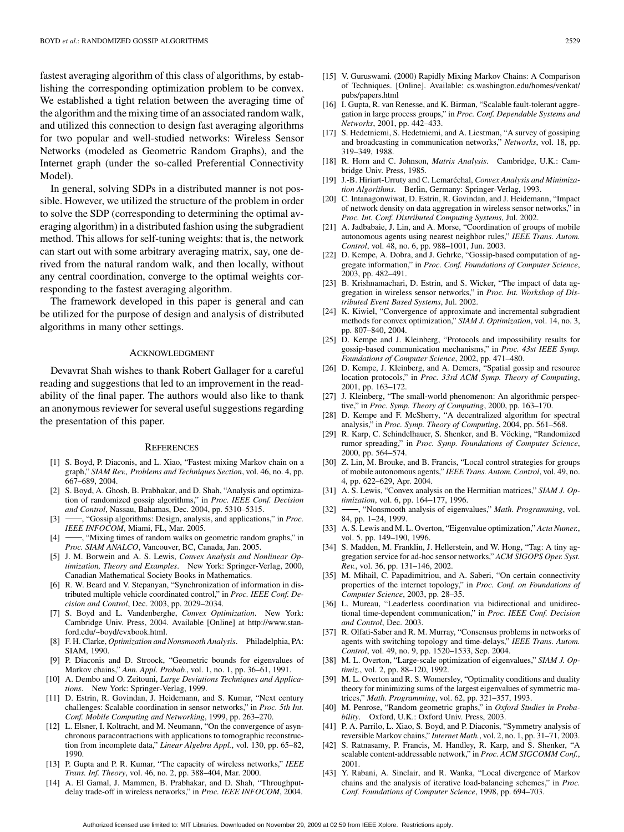<span id="page-21-0"></span>fastest averaging algorithm of this class of algorithms, by establishing the corresponding optimization problem to be convex. We established a tight relation between the averaging time of the algorithm and the mixing time of an associated random walk, and utilized this connection to design fast averaging algorithms for two popular and well-studied networks: Wireless Sensor Networks (modeled as Geometric Random Graphs), and the Internet graph (under the so-called Preferential Connectivity Model).

In general, solving SDPs in a distributed manner is not possible. However, we utilized the structure of the problem in order to solve the SDP (corresponding to determining the optimal averaging algorithm) in a distributed fashion using the subgradient method. This allows for self-tuning weights: that is, the network can start out with some arbitrary averaging matrix, say, one derived from the natural random walk, and then locally, without any central coordination, converge to the optimal weights corresponding to the fastest averaging algorithm.

The framework developed in this paper is general and can be utilized for the purpose of design and analysis of distributed algorithms in many other settings.

#### ACKNOWLEDGMENT

Devavrat Shah wishes to thank Robert Gallager for a careful reading and suggestions that led to an improvement in the readability of the final paper. The authors would also like to thank an anonymous reviewer for several useful suggestions regarding the presentation of this paper.

#### **REFERENCES**

- [1] S. Boyd, P. Diaconis, and L. Xiao, "Fastest mixing Markov chain on a graph," *SIAM Rev., Problems and Techniques Section*, vol. 46, no. 4, pp. 667–689, 2004.
- [2] S. Boyd, A. Ghosh, B. Prabhakar, and D. Shah, "Analysis and optimization of randomized gossip algorithms," in *Proc. IEEE Conf. Decision and Control*, Nassau, Bahamas, Dec. 2004, pp. 5310–5315.
- [3]  $\rightarrow$  "Gossip algorithms: Design, analysis, and applications," in *Proc. IEEE INFOCOM*, Miami, FL, Mar. 2005.
- [4]  $\rightarrow$ , "Mixing times of random walks on geometric random graphs," in *Proc. SIAM ANALCO*, Vancouver, BC, Canada, Jan. 2005.
- [5] J. M. Borwein and A. S. Lewis, *Convex Analysis and Nonlinear Optimization, Theory and Examples*. New York: Springer-Verlag, 2000, Canadian Mathematical Society Books in Mathematics.
- [6] R. W. Beard and V. Stepanyan, "Synchronization of information in distributed multiple vehicle coordinated control," in *Proc. IEEE Conf. Decision and Control*, Dec. 2003, pp. 2029–2034.
- [7] S. Boyd and L. Vandenberghe, *Convex Optimization*. New York: Cambridge Univ. Press, 2004. Available [Online] at http://www.stanford.edu/~boyd/cvxbook.html.
- [8] F. H. Clarke, *Optimization and Nonsmooth Analysis*. Philadelphia, PA: SIAM, 1990.
- [9] P. Diaconis and D. Stroock, "Geometric bounds for eigenvalues of Markov chains," *Ann. Appl. Probab.*, vol. 1, no. 1, pp. 36–61, 1991.
- [10] A. Dembo and O. Zeitouni, *Large Deviations Techniques and Applications*. New York: Springer-Verlag, 1999.
- [11] D. Estrin, R. Govindan, J. Heidemann, and S. Kumar, "Next century challenges: Scalable coordination in sensor networks," in *Proc. 5th Int. Conf. Mobile Computing and Networking*, 1999, pp. 263–270.
- [12] L. Elsner, I. Koltracht, and M. Neumann, "On the convergence of asynchronous paracontractions with applications to tomographic reconstruction from incomplete data," *Linear Algebra Appl.*, vol. 130, pp. 65–82, 1990.
- [13] P. Gupta and P. R. Kumar, "The capacity of wireless networks," *IEEE Trans. Inf. Theory*, vol. 46, no. 2, pp. 388–404, Mar. 2000.
- [14] A. El Gamal, J. Mammen, B. Prabhakar, and D. Shah, "Throughputdelay trade-off in wireless networks," in *Proc. IEEE INFOCOM*, 2004.
- [15] V. Guruswami. (2000) Rapidly Mixing Markov Chains: A Comparison of Techniques. [Online]. Available: cs.washington.edu/homes/venkat/ pubs/papers.html
- [16] I. Gupta, R. van Renesse, and K. Birman, "Scalable fault-tolerant aggregation in large process groups," in *Proc. Conf. Dependable Systems and Networks*, 2001, pp. 442–433.
- [17] S. Hedetniemi, S. Hedetniemi, and A. Liestman, "A survey of gossiping and broadcasting in communication networks," *Networks*, vol. 18, pp. 319–349, 1988.
- [18] R. Horn and C. Johnson, *Matrix Analysis*. Cambridge, U.K.: Cambridge Univ. Press, 1985.
- [19] J.-B. Hiriart-Urruty and C. Lemaréchal, *Convex Analysis and Minimization Algorithms*. Berlin, Germany: Springer-Verlag, 1993.
- [20] C. Intanagonwiwat, D. Estrin, R. Govindan, and J. Heidemann, "Impact of network density on data aggregation in wireless sensor networks," in *Proc. Int. Conf. Distributed Computing Systems*, Jul. 2002.
- [21] A. Jadbabaie, J. Lin, and A. Morse, "Coordination of groups of mobile autonomous agents using nearest neighbor rules," *IEEE Trans. Autom. Control*, vol. 48, no. 6, pp. 988–1001, Jun. 2003.
- [22] D. Kempe, A. Dobra, and J. Gehrke, "Gossip-based computation of aggregate information," in *Proc. Conf. Foundations of Computer Science*, 2003, pp. 482–491.
- [23] B. Krishnamachari, D. Estrin, and S. Wicker, "The impact of data aggregation in wireless sensor networks," in *Proc. Int. Workshop of Distributed Event Based Systems*, Jul. 2002.
- [24] K. Kiwiel, "Convergence of approximate and incremental subgradient methods for convex optimization," *SIAM J. Optimization*, vol. 14, no. 3, pp. 807–840, 2004.
- [25] D. Kempe and J. Kleinberg, "Protocols and impossibility results for gossip-based communication mechanisms," in *Proc. 43st IEEE Symp. Foundations of Computer Science*, 2002, pp. 471–480.
- [26] D. Kempe, J. Kleinberg, and A. Demers, "Spatial gossip and resource location protocols," in *Proc. 33rd ACM Symp. Theory of Computing*, 2001, pp. 163–172.
- [27] J. Kleinberg, "The small-world phenomenon: An algorithmic perspective," in *Proc. Symp. Theory of Computing*, 2000, pp. 163–170.
- [28] D. Kempe and F. McSherry, "A decentralized algorithm for spectral analysis," in *Proc. Symp. Theory of Computing*, 2004, pp. 561–568.
- [29] R. Karp, C. Schindelhauer, S. Shenker, and B. Vöcking, "Randomized rumor spreading," in *Proc. Symp. Foundations of Computer Science*, 2000, pp. 564–574.
- [30] Z. Lin, M. Brouke, and B. Francis, "Local control strategies for groups of mobile autonomous agents," *IEEE Trans. Autom. Control*, vol. 49, no. 4, pp. 622–629, Apr. 2004.
- [31] A. S. Lewis, "Convex analysis on the Hermitian matrices," *SIAM J. Optimization*, vol. 6, pp. 164–177, 1996.
- [32] -, "Nonsmooth analysis of eigenvalues," *Math. Programming*, vol. 84, pp. 1–24, 1999.
- [33] A. S. Lewis and M. L. Overton, "Eigenvalue optimization," *Acta Numer.*, vol. 5, pp. 149–190, 1996.
- [34] S. Madden, M. Franklin, J. Hellerstein, and W. Hong, "Tag: A tiny aggregation service for ad-hoc sensor networks," *ACM SIGOPS Oper. Syst. Rev.*, vol. 36, pp. 131–146, 2002.
- [35] M. Mihail, C. Papadimitriou, and A. Saberi, "On certain connectivity properties of the internet topology," in *Proc. Conf. on Foundations of Computer Science*, 2003, pp. 28–35.
- [36] L. Mureau, "Leaderless coordination via bidirectional and unidirectional time-dependent communication," in *Proc. IEEE Conf. Decision and Control*, Dec. 2003.
- [37] R. Olfati-Saber and R. M. Murray, "Consensus problems in networks of agents with switching topology and time-delays," *IEEE Trans. Autom. Control*, vol. 49, no. 9, pp. 1520–1533, Sep. 2004.
- [38] M. L. Overton, "Large-scale optimization of eigenvalues," *SIAM J. Optimiz.*, vol. 2, pp. 88–120, 1992.
- [39] M. L. Overton and R. S. Womersley, "Optimality conditions and duality theory for minimizing sums of the largest eigenvalues of symmetric matrices," *Math. Programming*, vol. 62, pp. 321–357, 1993.
- [40] M. Penrose, "Random geometric graphs," in *Oxford Studies in Probability*. Oxford, U.K.: Oxford Univ. Press, 2003.
- [41] P. A. Parrilo, L. Xiao, S. Boyd, and P. Diaconis, "Symmetry analysis of reversible Markov chains," *Internet Math.*, vol. 2, no. 1, pp. 31–71, 2003.
- [42] S. Ratnasamy, P. Francis, M. Handley, R. Karp, and S. Shenker, "A scalable content-addressable network," in *Proc. ACM SIGCOMM Conf.*, 2001.
- [43] Y. Rabani, A. Sinclair, and R. Wanka, "Local divergence of Markov chains and the analysis of iterative load-balancing schemes," in *Proc. Conf. Foundations of Computer Science*, 1998, pp. 694–703.